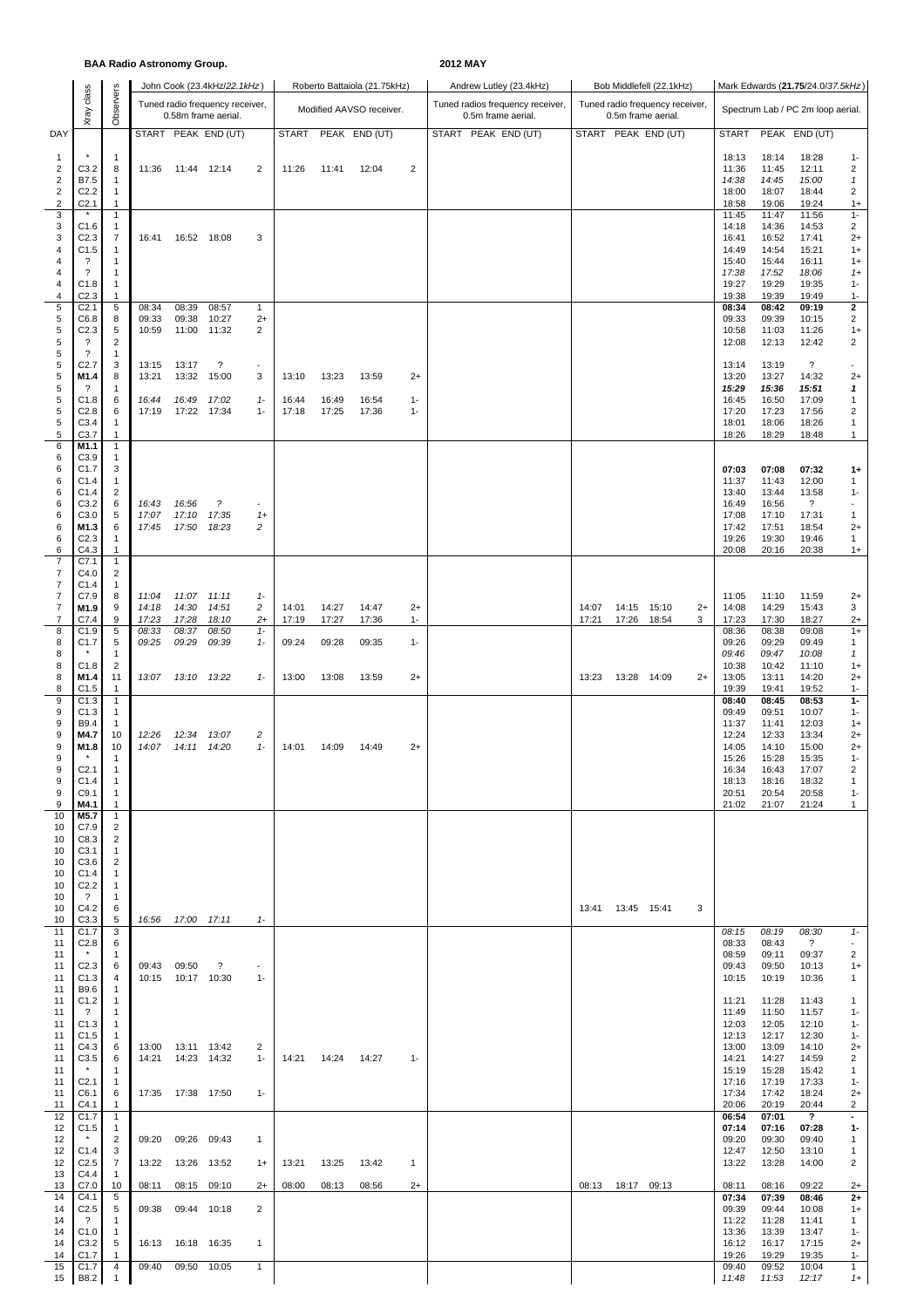## **BAA Radio Astronomy Group. 2012 MAY**

|                                  |                                                |                                  |                |                     | John Cook (23.4kHz/22.1kHz)                            |                               |                |                | Roberto Battaiola (21.75kHz) |                |  | Andrew Lutley (23.4kHz)                                |       |                     | Bob Middlefell (22.1kHz)                              |      |                |                | Mark Edwards (21.75/24.0/37.5kHz) |                         |
|----------------------------------|------------------------------------------------|----------------------------------|----------------|---------------------|--------------------------------------------------------|-------------------------------|----------------|----------------|------------------------------|----------------|--|--------------------------------------------------------|-------|---------------------|-------------------------------------------------------|------|----------------|----------------|-----------------------------------|-------------------------|
|                                  | class<br>Xray                                  | Observers                        |                |                     | Tuned radio frequency receiver,<br>0.58m frame aerial. |                               |                |                | Modified AAVSO receiver.     |                |  | Tuned radios frequency receiver,<br>0.5m frame aerial. |       |                     | Tuned radio frequency receiver,<br>0.5m frame aerial. |      |                |                | Spectrum Lab / PC 2m loop aerial. |                         |
| DAY                              |                                                |                                  |                |                     | START PEAK END (UT)                                    |                               | <b>START</b>   |                | PEAK END (UT)                |                |  | START PEAK END (UT)                                    |       |                     | START PEAK END (UT)                                   |      | <b>START</b>   |                | PEAK END (UT)                     |                         |
| $\mathbf{1}$                     |                                                | $\overline{1}$                   |                |                     |                                                        |                               |                |                |                              |                |  |                                                        |       |                     |                                                       |      | 18:13          | 18:14          | 18:28                             | $1 -$                   |
| 2<br>$\overline{\mathbf{c}}$     | C3.2<br>B7.5                                   | 8<br>1                           | 11:36          | 11:44 12:14         |                                                        | 2                             | 11:26          | 11:41          | 12:04                        | 2              |  |                                                        |       |                     |                                                       |      | 11:36<br>14:38 | 11:45<br>14:45 | 12:11<br>15:00                    | 2<br>$\mathbf{1}$       |
| $\overline{\mathbf{c}}$<br>2     | C <sub>2.2</sub><br>C <sub>2.1</sub>           | 1<br>1                           |                |                     |                                                        |                               |                |                |                              |                |  |                                                        |       |                     |                                                       |      | 18:00<br>18:58 | 18:07<br>19:06 | 18:44<br>19:24                    | 2<br>$1+$               |
| 3<br>3                           | C1.6                                           | $\mathbf{1}$<br>1                |                |                     |                                                        |                               |                |                |                              |                |  |                                                        |       |                     |                                                       |      | 11:45<br>14:18 | 11:47<br>14:36 | 11:56<br>14:53                    | $1 -$<br>$\overline{c}$ |
| 3                                | C <sub>2.3</sub>                               | $\overline{7}$                   | 16:41          |                     | 16:52 18:08                                            | 3                             |                |                |                              |                |  |                                                        |       |                     |                                                       |      | 16:41          | 16:52          | 17:41                             | $2+$                    |
| 4<br>4                           | C1.5<br>$\overline{\cdot}$                     | 1<br>1                           |                |                     |                                                        |                               |                |                |                              |                |  |                                                        |       |                     |                                                       |      | 14:49<br>15:40 | 14:54<br>15:44 | 15:21<br>16:11                    | $1+$<br>$1+$            |
| 4<br>4                           | $\overline{\cdot}$<br>C1.8                     | $\mathbf{1}$<br>1                |                |                     |                                                        |                               |                |                |                              |                |  |                                                        |       |                     |                                                       |      | 17:38<br>19:27 | 17:52<br>19:29 | 18:06<br>19:35                    | $1+$<br>$1 -$           |
| 4<br>5                           | C2.3<br>C <sub>2.1</sub>                       | 1<br>$\sqrt{5}$                  | 08:34          | 08:39               | 08:57                                                  | 1                             |                |                |                              |                |  |                                                        |       |                     |                                                       |      | 19:38<br>08:34 | 19:39<br>08:42 | 19:49<br>09:19                    | $1 -$<br>$\mathbf{2}$   |
| 5<br>5                           | C6.8<br>C2.3                                   | 8<br>$\sqrt{5}$                  | 09:33<br>10:59 | 09:38<br>11:00      | 10:27<br>11:32                                         | $2+$<br>2                     |                |                |                              |                |  |                                                        |       |                     |                                                       |      | 09:33<br>10:58 | 09:39<br>11:03 | 10:15<br>11:26                    | 2<br>$1+$               |
| 5<br>5                           | $\overline{\cdot}$<br>$\overline{\phantom{a}}$ | $\overline{c}$<br>$\mathbf{1}$   |                |                     |                                                        |                               |                |                |                              |                |  |                                                        |       |                     |                                                       |      | 12:08          | 12:13          | 12:42                             | $\overline{c}$          |
| 5<br>5                           | C <sub>2.7</sub><br>M1.4                       | 3                                | 13:15          | 13:17               | $\overline{\mathcal{E}}$                               | $\overline{\phantom{a}}$<br>3 |                |                |                              |                |  |                                                        |       |                     |                                                       |      | 13:14          | 13:19          | $\overline{\cdot}$                |                         |
| 5                                | ?                                              | 8<br>-1                          | 13:21          | 13:32               | 15:00                                                  |                               | 13:10          | 13:23          | 13:59                        | $2+$           |  |                                                        |       |                     |                                                       |      | 13:20<br>15:29 | 13:27<br>15:36 | 14:32<br>15:51                    | $2+$<br>$\mathbf{1}$    |
| 5<br>5                           | C1.8<br>C2.8                                   | 6<br>6                           | 16:44<br>17:19 | 16:49<br>17:22      | 17:02<br>17:34                                         | $1 -$<br>$1 -$                | 16:44<br>17:18 | 16:49<br>17:25 | 16:54<br>17:36               | $1 -$<br>$1 -$ |  |                                                        |       |                     |                                                       |      | 16:45<br>17:20 | 16:50<br>17:23 | 17:09<br>17:56                    | 1<br>2                  |
| 5<br>5                           | C3.4<br>C3.7                                   | -1<br>$\mathbf{1}$               |                |                     |                                                        |                               |                |                |                              |                |  |                                                        |       |                     |                                                       |      | 18:01<br>18:26 | 18:06<br>18:29 | 18:26<br>18:48                    | 1<br>$\mathbf{1}$       |
| 6<br>6                           | M1.1<br>C3.9                                   | $\mathbf{1}$<br>1                |                |                     |                                                        |                               |                |                |                              |                |  |                                                        |       |                     |                                                       |      |                |                |                                   |                         |
| 6<br>6                           | C1.7<br>C1.4                                   | 3<br>1                           |                |                     |                                                        |                               |                |                |                              |                |  |                                                        |       |                     |                                                       |      | 07:03<br>11:37 | 07:08<br>11:43 | 07:32<br>12:00                    | $1+$<br>1               |
| 6<br>6                           | C1.4<br>C3.2                                   | $\overline{2}$<br>6              | 16:43          | 16:56               | $\tilde{z}$                                            | $\overline{\phantom{a}}$      |                |                |                              |                |  |                                                        |       |                     |                                                       |      | 13:40<br>16:49 | 13:44<br>16:56 | 13:58<br>?                        | $1 -$<br>$\blacksquare$ |
| 6<br>6                           | C3.0<br>M1.3                                   | 5<br>6                           | 17:07<br>17:45 | 17:10<br>17:50      | 17:35<br>18:23                                         | $1+$<br>2                     |                |                |                              |                |  |                                                        |       |                     |                                                       |      | 17:08<br>17:42 | 17:10<br>17:51 | 17:31<br>18:54                    | 1<br>$2+$               |
| 6                                | C <sub>2.3</sub>                               | -1                               |                |                     |                                                        |                               |                |                |                              |                |  |                                                        |       |                     |                                                       |      | 19:26          | 19:30          | 19:46                             | 1                       |
| 6<br>$\overline{\mathbf{7}}$     | C4.3<br>C7.1                                   | 1<br>$\mathbf{1}$                |                |                     |                                                        |                               |                |                |                              |                |  |                                                        |       |                     |                                                       |      | 20:08          | 20:16          | 20:38                             | $1+$                    |
| $\overline{7}$<br>$\overline{7}$ | C4.0<br>C1.4                                   | $\overline{c}$<br>1              |                |                     |                                                        |                               |                |                |                              |                |  |                                                        |       |                     |                                                       |      |                |                |                                   |                         |
| 7<br>$\overline{7}$              | C7.9<br>M1.9                                   | 8<br>9                           | 11:04<br>14:18 | 11:07<br>14:30      | 11:11<br>14:51                                         | $1 -$<br>2                    | 14:01          | 14:27          | 14:47                        | $2+$           |  |                                                        | 14:07 | 14:15               | 15:10                                                 | $2+$ | 11:05<br>14:08 | 11:10<br>14:29 | 11:59<br>15:43                    | $^{2+}$<br>3            |
| 7<br>8                           | C7.4<br>C1.9                                   | 9<br>$\sqrt{5}$                  | 17:23<br>08:33 | 17:28<br>08:37      | 18:10<br>08:50                                         | $^{2+}$<br>$1 -$              | 17:19          | 17:27          | 17:36                        | $1 -$          |  |                                                        | 17:21 | 17:26               | 18:54                                                 | 3    | 17:23<br>08:36 | 17:30<br>08:38 | 18:27<br>09:08                    | $2+$<br>$1+$            |
| 8<br>8                           | C1.7                                           | 5<br>1                           | 09:25          | 09:29               | 09:39                                                  | $1 -$                         | 09:24          | 09:28          | 09:35                        | $1 -$          |  |                                                        |       |                     |                                                       |      | 09:26<br>09:46 | 09:29<br>09:47 | 09:49<br>10:08                    | 1<br>$\mathbf{1}$       |
| 8<br>8                           | C1.8<br>M1.4                                   | $\overline{2}$<br>11             | 13:07          |                     | 13:10 13:22                                            | $1 -$                         | 13:00          | 13:08          | 13:59                        | $2+$           |  |                                                        | 13:23 | 13:28 14:09         |                                                       | $2+$ | 10:38<br>13:05 | 10:42<br>13:11 | 11:10<br>14:20                    | $1+$<br>$2+$            |
| 8<br>9                           | C1.5<br>C1.3                                   | 1<br>$\mathbf{1}$                |                |                     |                                                        |                               |                |                |                              |                |  |                                                        |       |                     |                                                       |      | 19:39<br>08:40 | 19:41<br>08:45 | 19:52<br>08:53                    | $1 -$<br>$1-$           |
| 9<br>9                           | C1.3<br>B9.4                                   | $\mathbf{1}$                     |                |                     |                                                        |                               |                |                |                              |                |  |                                                        |       |                     |                                                       |      | 09:49<br>11:37 | 09:51<br>11:41 | 10:07<br>12:03                    | $1 -$                   |
| 9                                | M4.7                                           | $\mathbf{1}$<br>10               | 12:26          | 12:34               | 13:07                                                  | 2                             |                |                |                              |                |  |                                                        |       |                     |                                                       |      | 12:24          | 12:33          | 13:34                             | $1+$<br>$2+$            |
| 9<br>9                           | M1.8                                           | 10<br>1                          | 14:07          |                     | 14:11 14:20                                            | $1 -$                         | 14:01          | 14:09          | 14:49                        | $2+$           |  |                                                        |       |                     |                                                       |      | 14:05<br>15:26 | 14:10<br>15:28 | 15:00<br>15:35                    | $2+$<br>$1 -$           |
| 9<br>9                           | C2.1<br>C1.4                                   | $\overline{1}$<br>-1             |                |                     |                                                        |                               |                |                |                              |                |  |                                                        |       |                     |                                                       |      | 16:34<br>18:13 | 16:43<br>18:16 | 17:07<br>18:32                    | 2<br>-1                 |
| 9<br>9                           | C9.1<br>M4.1                                   | -1<br>-1                         |                |                     |                                                        |                               |                |                |                              |                |  |                                                        |       |                     |                                                       |      | 20:51<br>21:02 | 20:54<br>21:07 | 20:58<br>21:24                    | $1 -$<br>1              |
| 10<br>10                         | M5.7<br>C7.9                                   | $\mathbf{1}$<br>2                |                |                     |                                                        |                               |                |                |                              |                |  |                                                        |       |                     |                                                       |      |                |                |                                   |                         |
| 10<br>10                         | C8.3<br>C3.1                                   | $\overline{2}$<br>1              |                |                     |                                                        |                               |                |                |                              |                |  |                                                        |       |                     |                                                       |      |                |                |                                   |                         |
| 10<br>10                         | C3.6<br>C1.4                                   | 2<br>-1                          |                |                     |                                                        |                               |                |                |                              |                |  |                                                        |       |                     |                                                       |      |                |                |                                   |                         |
| 10                               | C2.2                                           | $\overline{1}$                   |                |                     |                                                        |                               |                |                |                              |                |  |                                                        |       |                     |                                                       |      |                |                |                                   |                         |
| 10<br>10                         | ?<br>C4.2                                      | -1<br>6                          |                |                     |                                                        |                               |                |                |                              |                |  |                                                        |       | 13:41  13:45  15:41 |                                                       | 3    |                |                |                                   |                         |
| 10<br>11                         | C3.3<br>C1.7                                   | 5<br>3                           |                | 16:56  17:00  17:11 |                                                        | $1 -$                         |                |                |                              |                |  |                                                        |       |                     |                                                       |      | 08:15          | 08:19          | 08:30                             | $1 -$                   |
| 11<br>11                         | C2.8                                           | 6<br>-1                          |                |                     |                                                        |                               |                |                |                              |                |  |                                                        |       |                     |                                                       |      | 08:33<br>08:59 | 08:43<br>09:11 | $\overline{?}$<br>09:37           | 2                       |
| 11<br>11                         | C2.3<br>C1.3                                   | 6<br>4                           | 09:43 09:50    | 10:15 10:17 10:30   | ?                                                      | $1 -$                         |                |                |                              |                |  |                                                        |       |                     |                                                       |      | 09:43<br>10:15 | 09:50<br>10:19 | 10:13<br>10:36                    | $1+$<br>1               |
| 11<br>11                         | B9.6<br>C1.2                                   | -1<br>$\overline{1}$             |                |                     |                                                        |                               |                |                |                              |                |  |                                                        |       |                     |                                                       |      | 11:21          | 11:28          | 11:43                             | 1                       |
| 11<br>11                         | ?<br>C1.3                                      | -1<br>$\overline{1}$             |                |                     |                                                        |                               |                |                |                              |                |  |                                                        |       |                     |                                                       |      | 11:49<br>12:03 | 11:50<br>12:05 | 11:57<br>12:10                    | $1 -$<br>$1 -$          |
| 11                               | C1.5                                           | $\mathbf{1}$                     |                | 13:00  13:11  13:42 |                                                        |                               |                |                |                              |                |  |                                                        |       |                     |                                                       |      | 12:13<br>13:00 | 12:17<br>13:09 | 12:30<br>14:10                    | $1 -$                   |
| 11<br>11                         | C4.3<br>C3.5                                   | 6<br>6                           | 14:21          |                     | 14:23 14:32                                            | 2<br>$1 -$                    | 14:21          | 14:24          | 14:27                        | $1 -$          |  |                                                        |       |                     |                                                       |      | 14:21          | 14:27          | 14:59                             | $2+$<br>2               |
| 11<br>11                         | C <sub>2.1</sub>                               | -1<br>$\overline{1}$             |                |                     |                                                        |                               |                |                |                              |                |  |                                                        |       |                     |                                                       |      | 15:19<br>17:16 | 15:28<br>17:19 | 15:42<br>17:33                    | 1<br>$1 -$              |
| 11<br>11                         | C6.1<br>C4.1                                   | 6<br>1                           |                | 17:35  17:38  17:50 |                                                        | $1 -$                         |                |                |                              |                |  |                                                        |       |                     |                                                       |      | 17:34<br>20:06 | 17:42<br>20:19 | 18:24<br>20:44                    | $2+$<br>2               |
| 12<br>12                         | C1.7<br>C1.5                                   | $\overline{1}$<br>-1             |                |                     |                                                        |                               |                |                |                              |                |  |                                                        |       |                     |                                                       |      | 06:54<br>07:14 | 07:01<br>07:16 | $\overline{\mathbf{?}}$<br>07:28  | ٠<br>$1-$               |
| 12<br>12                         | C1.4                                           | 2<br>3                           | 09:20          |                     | 09:26 09:43                                            | 1                             |                |                |                              |                |  |                                                        |       |                     |                                                       |      | 09:20<br>12:47 | 09:30<br>12:50 | 09:40<br>13:10                    | 1<br>1                  |
| 12<br>13                         | C2.5<br>C4.4                                   | $\overline{7}$<br>$\overline{1}$ | 13:22          |                     | 13:26 13:52                                            | $1+$                          | 13:21          | 13:25          | 13:42                        | 1              |  |                                                        |       |                     |                                                       |      | 13:22          | 13:28          | 14:00                             | 2                       |
| 13<br>14                         | C7.0<br>C4.1                                   | 10<br>5                          | 08:11          |                     | 08:15 09:10                                            | $2+$                          | 08:00          | 08:13          | 08:56                        | $2+$           |  |                                                        |       | 08:13 18:17 09:13   |                                                       |      | 08:11<br>07:34 | 08:16<br>07:39 | 09:22<br>08:46                    | $2+$<br>$2+$            |
| 14                               | C2.5                                           | 5                                | 09:38          |                     | 09:44 10:18                                            | $\overline{2}$                |                |                |                              |                |  |                                                        |       |                     |                                                       |      | 09:39          | 09:44          | 10:08                             | $1+$                    |
| 14<br>14                         | ?<br>C1.0                                      | -1<br>$\mathbf{1}$               |                |                     |                                                        |                               |                |                |                              |                |  |                                                        |       |                     |                                                       |      | 11:22<br>13:36 | 11:28<br>13:39 | 11:41<br>13:47                    | 1<br>$1 -$              |
| 14<br>14                         | C3.2<br>C1.7                                   | 5<br>1                           | 16:13          |                     | 16:18 16:35                                            | 1                             |                |                |                              |                |  |                                                        |       |                     |                                                       |      | 16:12<br>19:26 | 16:17<br>19:29 | 17:15<br>19:35                    | $2+$<br>$1 -$           |
| 15<br>15                         | C1.7<br>B8.2                                   | 4                                | 09:40          |                     | 09:50 10:05                                            | 1                             |                |                |                              |                |  |                                                        |       |                     |                                                       |      | 09:40<br>11:48 | 09:52<br>11:53 | 10:04<br>12:17                    | $\mathbf{1}$<br>$1+$    |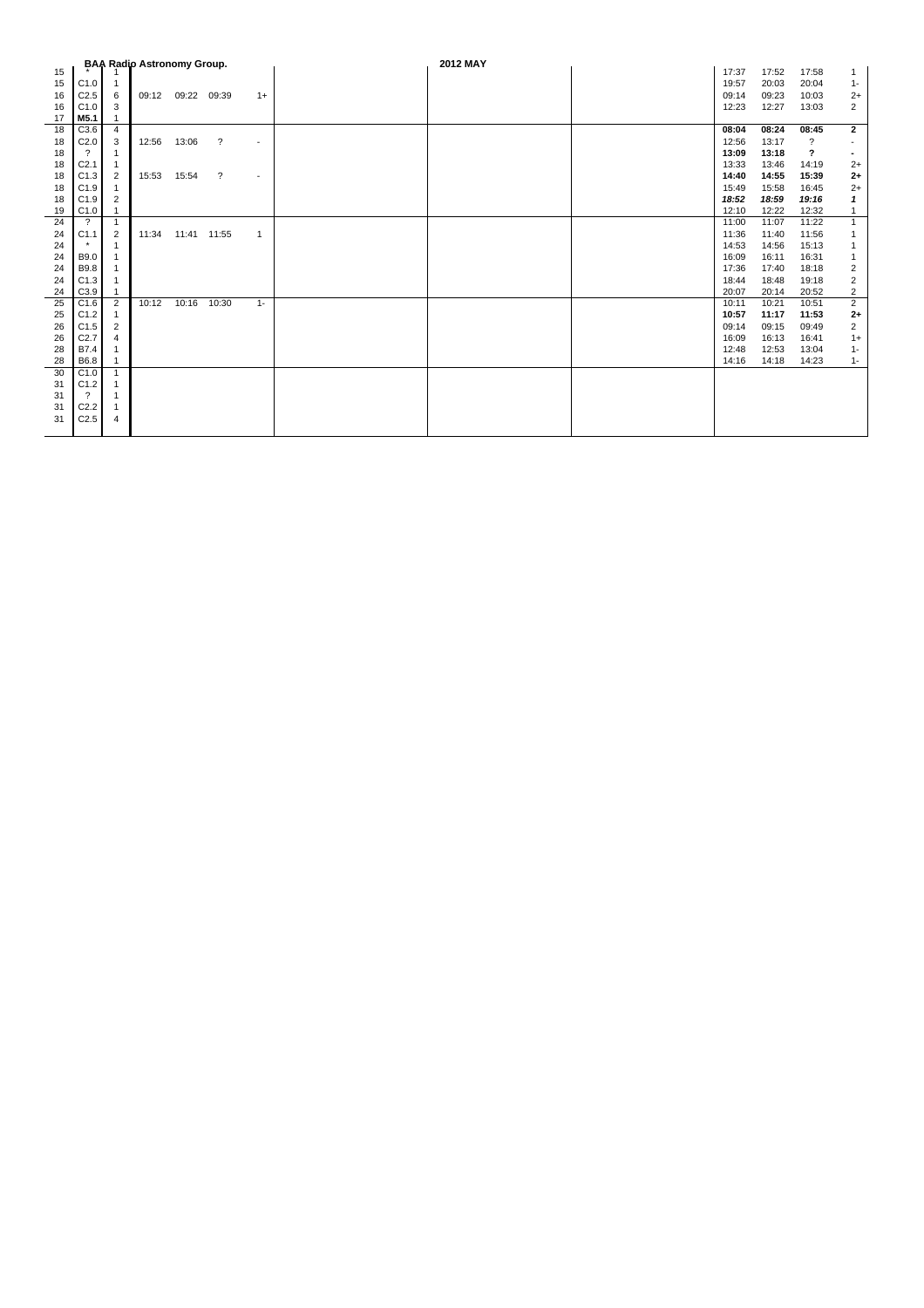|    |                  |                | <b>BAA Radio Astronomy Group.</b> |             |                          |                | 2012 MAY |       |       |                           |                |
|----|------------------|----------------|-----------------------------------|-------------|--------------------------|----------------|----------|-------|-------|---------------------------|----------------|
| 15 |                  |                |                                   |             |                          |                |          | 17:37 | 17:52 | 17:58                     |                |
| 15 | C1.0             | $\mathbf{1}$   |                                   |             |                          |                |          | 19:57 | 20:03 | 20:04                     | $1 -$          |
| 16 | C <sub>2.5</sub> | 6              | 09:12                             | 09:22 09:39 |                          | $1+$           |          | 09:14 | 09:23 | 10:03                     | $2+$           |
| 16 | C1.0             | 3              |                                   |             |                          |                |          | 12:23 | 12:27 | 13:03                     | 2              |
| 17 | M5.1             |                |                                   |             |                          |                |          |       |       |                           |                |
| 18 | C3.6             | 4              |                                   |             |                          |                |          | 08:04 | 08:24 | 08:45                     | $\mathbf{2}$   |
| 18 | C <sub>2.0</sub> | 3              | 12:56                             | 13:06       | $\overline{\mathcal{L}}$ | $\sim$         |          | 12:56 | 13:17 | ?                         |                |
| 18 | $\gamma$         | 1              |                                   |             |                          |                |          | 13:09 | 13:18 | $\boldsymbol{\mathsf{?}}$ |                |
| 18 | C <sub>2.1</sub> | 1              |                                   |             |                          |                |          | 13:33 | 13:46 | 14:19                     | $2+$           |
| 18 | C <sub>1.3</sub> | $\overline{2}$ | 15:53                             | 15:54       | $\overline{\cdot}$       | $\blacksquare$ |          | 14:40 | 14:55 | 15:39                     | $2+$           |
| 18 | C1.9             |                |                                   |             |                          |                |          | 15:49 | 15:58 | 16:45                     | $2+$           |
| 18 | C1.9             | 2              |                                   |             |                          |                |          | 18:52 | 18:59 | 19:16                     |                |
| 19 | C1.0             |                |                                   |             |                          |                |          | 12:10 | 12:22 | 12:32                     |                |
| 24 | $\gamma$         | $\mathbf{1}$   |                                   |             |                          |                |          | 11:00 | 11:07 | 11:22                     |                |
| 24 | C1.1             | $\overline{2}$ | 11:34                             | 11:41 11:55 |                          | $\mathbf{1}$   |          | 11:36 | 11:40 | 11:56                     |                |
| 24 |                  | -1             |                                   |             |                          |                |          | 14:53 | 14:56 | 15:13                     |                |
| 24 | B9.0             | 1              |                                   |             |                          |                |          | 16:09 | 16:11 | 16:31                     |                |
| 24 | B9.8             |                |                                   |             |                          |                |          | 17:36 | 17:40 | 18:18                     | $\overline{2}$ |
| 24 | C1.3             | 1              |                                   |             |                          |                |          | 18:44 | 18:48 | 19:18                     | 2              |
| 24 | C3.9             |                |                                   |             |                          |                |          | 20:07 | 20:14 | 20:52                     | 2              |
| 25 | C1.6             | $\overline{2}$ | 10:12                             | 10:16       | 10:30                    | $1 -$          |          | 10:11 | 10:21 | 10:51                     | $\overline{2}$ |
| 25 | C1.2             |                |                                   |             |                          |                |          | 10:57 | 11:17 | 11:53                     | $2+$           |
| 26 | C1.5             | $\overline{2}$ |                                   |             |                          |                |          | 09:14 | 09:15 | 09:49                     | $\overline{c}$ |
| 26 | C2.7             | 4              |                                   |             |                          |                |          | 16:09 | 16:13 | 16:41                     | $1+$           |
| 28 | B7.4             | 1              |                                   |             |                          |                |          | 12:48 | 12:53 | 13:04                     | $1 -$          |
| 28 | B6.8             |                |                                   |             |                          |                |          | 14:16 | 14:18 | 14:23                     | $1 -$          |
| 30 | C1.0             | 1              |                                   |             |                          |                |          |       |       |                           |                |
| 31 | C1.2             |                |                                   |             |                          |                |          |       |       |                           |                |
| 31 | $\gamma$         | 1              |                                   |             |                          |                |          |       |       |                           |                |
| 31 | C <sub>2.2</sub> | 1              |                                   |             |                          |                |          |       |       |                           |                |
| 31 | C <sub>2.5</sub> | 4              |                                   |             |                          |                |          |       |       |                           |                |
|    |                  |                |                                   |             |                          |                |          |       |       |                           |                |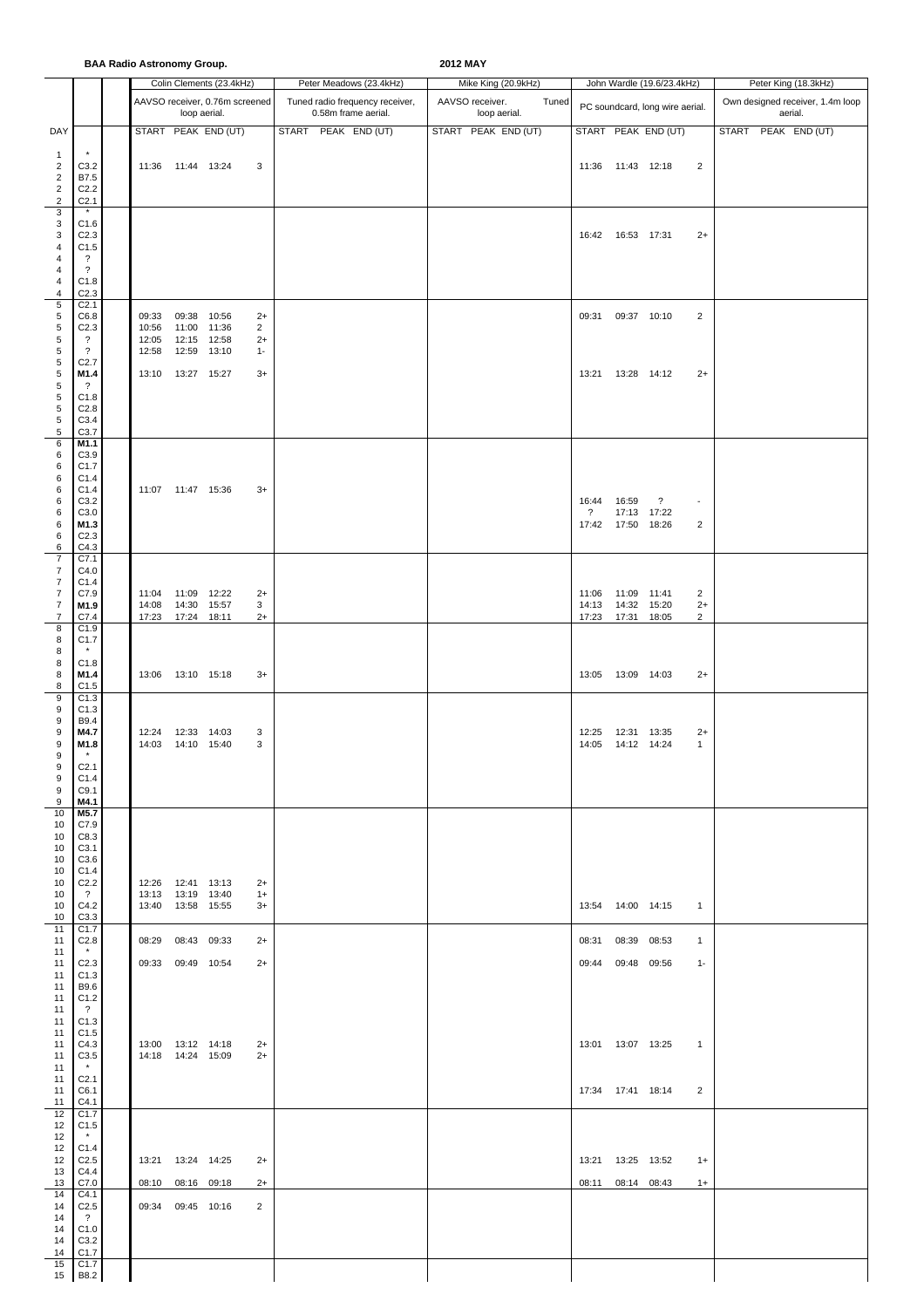## **BAA Radio Astronomy Group. 2012 MAY**

|                                  |                                          |                                            | <b>DAA NGUNA ASH OHOHIY OHOHI</b> | Colin Clements (23.4kHz)       |                        |  | Peter Meadows (23.4kHz)         | LVIL III.       | Mike King (20.9kHz) |       |                    |                            | John Wardle (19.6/23.4kHz)      |                          | Peter King (18.3kHz) |                                  |
|----------------------------------|------------------------------------------|--------------------------------------------|-----------------------------------|--------------------------------|------------------------|--|---------------------------------|-----------------|---------------------|-------|--------------------|----------------------------|---------------------------------|--------------------------|----------------------|----------------------------------|
|                                  |                                          |                                            |                                   | AAVSO receiver, 0.76m screened |                        |  | Tuned radio frequency receiver, | AAVSO receiver. |                     | Tuned |                    |                            |                                 |                          |                      | Own designed receiver, 1.4m loop |
|                                  |                                          |                                            | loop aerial.                      |                                |                        |  | 0.58m frame aerial.             |                 | loop aerial.        |       |                    |                            | PC soundcard, long wire aerial. |                          | aerial.              |                                  |
| DAY                              |                                          |                                            |                                   | START PEAK END (UT)            |                        |  | START PEAK END (UT)             |                 | START PEAK END (UT) |       |                    |                            | START PEAK END (UT)             |                          | START PEAK END (UT)  |                                  |
| $\mathbf{1}$                     |                                          |                                            |                                   |                                |                        |  |                                 |                 |                     |       |                    |                            |                                 |                          |                      |                                  |
| $\overline{c}$<br>$\overline{2}$ | C3.2<br>B7.5                             | 11:36  11:44  13:24                        |                                   |                                | 3                      |  |                                 |                 |                     |       |                    | 11:36 11:43 12:18          |                                 | 2                        |                      |                                  |
| $\mathbf 2$<br>$\overline{2}$    | C <sub>2.2</sub>                         |                                            |                                   |                                |                        |  |                                 |                 |                     |       |                    |                            |                                 |                          |                      |                                  |
| 3                                | C <sub>2.1</sub><br>$\star$              |                                            |                                   |                                |                        |  |                                 |                 |                     |       |                    |                            |                                 |                          |                      |                                  |
| 3<br>3                           | C1.6<br>C <sub>2.3</sub>                 |                                            |                                   |                                |                        |  |                                 |                 |                     |       |                    | 16:42  16:53  17:31        |                                 | $2+$                     |                      |                                  |
| 4                                | C1.5                                     |                                            |                                   |                                |                        |  |                                 |                 |                     |       |                    |                            |                                 |                          |                      |                                  |
| 4<br>$\overline{4}$              | ?<br>$\overline{\cdot}$                  |                                            |                                   |                                |                        |  |                                 |                 |                     |       |                    |                            |                                 |                          |                      |                                  |
| 4<br>4                           | C1.8<br>C2.3                             |                                            |                                   |                                |                        |  |                                 |                 |                     |       |                    |                            |                                 |                          |                      |                                  |
| $\sqrt{5}$                       | C <sub>2.1</sub>                         |                                            |                                   |                                |                        |  |                                 |                 |                     |       |                    |                            |                                 |                          |                      |                                  |
| 5<br>5                           | C6.8<br>C <sub>2.3</sub>                 | 09:33<br>10:56                             | 09:38<br>11:00                    | 10:56<br>11:36                 | $2+$<br>$\overline{2}$ |  |                                 |                 |                     |       |                    | 09:31 09:37 10:10          |                                 | 2                        |                      |                                  |
| 5<br>$\sqrt{5}$                  | $\overline{\cdot}$<br>$\overline{\cdot}$ | 12:05<br>12:58                             | 12:15 12:58<br>12:59              | 13:10                          | $2+$<br>$1 -$          |  |                                 |                 |                     |       |                    |                            |                                 |                          |                      |                                  |
| 5                                | C <sub>2.7</sub>                         |                                            |                                   |                                |                        |  |                                 |                 |                     |       |                    |                            |                                 |                          |                      |                                  |
| 5<br>$\,$ 5 $\,$                 | M1.4<br>$\overline{\cdot}$               | 13:10                                      | 13:27  15:27                      |                                | $3+$                   |  |                                 |                 |                     |       |                    | 13:21  13:28  14:12        |                                 | $2+$                     |                      |                                  |
| $\sqrt{5}$<br>5                  | C1.8<br>C <sub>2.8</sub>                 |                                            |                                   |                                |                        |  |                                 |                 |                     |       |                    |                            |                                 |                          |                      |                                  |
| 5                                | C3.4                                     |                                            |                                   |                                |                        |  |                                 |                 |                     |       |                    |                            |                                 |                          |                      |                                  |
| 5<br>6                           | C3.7<br>M1.1                             |                                            |                                   |                                |                        |  |                                 |                 |                     |       |                    |                            |                                 |                          |                      |                                  |
| 6                                | C3.9                                     |                                            |                                   |                                |                        |  |                                 |                 |                     |       |                    |                            |                                 |                          |                      |                                  |
| 6<br>6                           | C1.7<br>C1.4                             |                                            |                                   |                                |                        |  |                                 |                 |                     |       |                    |                            |                                 |                          |                      |                                  |
| 6<br>6                           | C1.4<br>C3.2                             | 11:07  11:47  15:36                        |                                   |                                | $3+$                   |  |                                 |                 |                     |       | 16:44              | 16:59                      | $\ddot{\phantom{0}}$            | $\overline{\phantom{a}}$ |                      |                                  |
| 6                                | C3.0                                     |                                            |                                   |                                |                        |  |                                 |                 |                     |       | $\overline{\cdot}$ |                            | 17:13 17:22                     |                          |                      |                                  |
| 6<br>6                           | M1.3<br>C <sub>2.3</sub>                 |                                            |                                   |                                |                        |  |                                 |                 |                     |       |                    | 17:42  17:50  18:26        |                                 | 2                        |                      |                                  |
| 6<br>$\overline{7}$              | C4.3<br>C7.1                             |                                            |                                   |                                |                        |  |                                 |                 |                     |       |                    |                            |                                 |                          |                      |                                  |
| $\overline{7}$<br>$\overline{7}$ | C4.0<br>C1.4                             |                                            |                                   |                                |                        |  |                                 |                 |                     |       |                    |                            |                                 |                          |                      |                                  |
| $\overline{7}$                   | C7.9                                     | 11:04                                      | 11:09 12:22                       |                                | $2+$                   |  |                                 |                 |                     |       | 11:06              | 11:09 11:41                |                                 | $\overline{2}$           |                      |                                  |
| $\boldsymbol{7}$<br>7            | M1.9<br>C7.4                             | 14:08<br>17:23                             | 14:30 15:57<br>17:24 18:11        |                                | 3<br>$2+$              |  |                                 |                 |                     |       | 14:13<br>17:23     | 14:32 15:20<br>17:31 18:05 |                                 | $2+$<br>2                |                      |                                  |
| 8                                | C1.9                                     |                                            |                                   |                                |                        |  |                                 |                 |                     |       |                    |                            |                                 |                          |                      |                                  |
| 8<br>8                           | C <sub>1.7</sub>                         |                                            |                                   |                                |                        |  |                                 |                 |                     |       |                    |                            |                                 |                          |                      |                                  |
| 8<br>8                           | C1.8<br>M1.4                             | 13:06  13:10  15:18                        |                                   |                                | $3+$                   |  |                                 |                 |                     |       |                    | 13:05  13:09  14:03        |                                 | $2+$                     |                      |                                  |
| 8                                | C1.5                                     |                                            |                                   |                                |                        |  |                                 |                 |                     |       |                    |                            |                                 |                          |                      |                                  |
| 9<br>9                           | C1.3<br>C1.3                             |                                            |                                   |                                |                        |  |                                 |                 |                     |       |                    |                            |                                 |                          |                      |                                  |
| 9<br>9                           | B9.4<br>M4.7                             | 12:24  12:33  14:03                        |                                   |                                | 3                      |  |                                 |                 |                     |       | 12:25              | 12:31 13:35                |                                 | $2+$                     |                      |                                  |
| 9                                | M1.8                                     |                                            | 14:03  14:10  15:40               |                                | 3                      |  |                                 |                 |                     |       | 14:05              | 14:12 14:24                |                                 | $\mathbf{1}$             |                      |                                  |
| 9<br>9                           | $\pmb{\ast}$<br>C <sub>2.1</sub>         |                                            |                                   |                                |                        |  |                                 |                 |                     |       |                    |                            |                                 |                          |                      |                                  |
| 9<br>9                           | C1.4<br>C9.1                             |                                            |                                   |                                |                        |  |                                 |                 |                     |       |                    |                            |                                 |                          |                      |                                  |
| 9                                | M4.1                                     |                                            |                                   |                                |                        |  |                                 |                 |                     |       |                    |                            |                                 |                          |                      |                                  |
| 10<br>10                         | M5.7<br>C7.9                             |                                            |                                   |                                |                        |  |                                 |                 |                     |       |                    |                            |                                 |                          |                      |                                  |
| 10<br>10                         | C8.3<br>C <sub>3.1</sub>                 |                                            |                                   |                                |                        |  |                                 |                 |                     |       |                    |                            |                                 |                          |                      |                                  |
| 10                               | C3.6                                     |                                            |                                   |                                |                        |  |                                 |                 |                     |       |                    |                            |                                 |                          |                      |                                  |
| 10<br>10                         | C1.4<br>C <sub>2.2</sub>                 | 12:26  12:41  13:13                        |                                   |                                | $2+$                   |  |                                 |                 |                     |       |                    |                            |                                 |                          |                      |                                  |
| 10<br>10                         | $\overline{\mathcal{E}}$<br>C4.2         | 13:13  13:19  13:40<br>13:40  13:58  15:55 |                                   |                                | $1+$<br>$3+$           |  |                                 |                 |                     |       |                    | 13:54  14:00  14:15        |                                 | $\overline{1}$           |                      |                                  |
| 10                               | C3.3                                     |                                            |                                   |                                |                        |  |                                 |                 |                     |       |                    |                            |                                 |                          |                      |                                  |
| 11<br>11                         | C1.7<br>C2.8                             | 08:29 08:43 09:33                          |                                   |                                | $2+$                   |  |                                 |                 |                     |       |                    | 08:31 08:39 08:53          |                                 | $\mathbf{1}$             |                      |                                  |
| 11<br>11                         | C <sub>2.3</sub>                         | 09:33 09:49 10:54                          |                                   |                                | $2+$                   |  |                                 |                 |                     |       |                    | 09:44 09:48 09:56          |                                 | $1 -$                    |                      |                                  |
| 11                               | C1.3                                     |                                            |                                   |                                |                        |  |                                 |                 |                     |       |                    |                            |                                 |                          |                      |                                  |
| 11<br>11                         | B9.6<br>C1.2                             |                                            |                                   |                                |                        |  |                                 |                 |                     |       |                    |                            |                                 |                          |                      |                                  |
| 11<br>11                         | $\overline{\cdot}$<br>C1.3               |                                            |                                   |                                |                        |  |                                 |                 |                     |       |                    |                            |                                 |                          |                      |                                  |
| 11                               | C1.5                                     |                                            |                                   |                                |                        |  |                                 |                 |                     |       |                    |                            |                                 |                          |                      |                                  |
| 11<br>11                         | C4.3<br>C3.5                             | 13:00  13:12  14:18<br>14:18  14:24  15:09 |                                   |                                | $2+$<br>$2+$           |  |                                 |                 |                     |       |                    | 13:01  13:07  13:25        |                                 | $\overline{\phantom{1}}$ |                      |                                  |
| 11                               | $\star$                                  |                                            |                                   |                                |                        |  |                                 |                 |                     |       |                    |                            |                                 |                          |                      |                                  |
| 11<br>11                         | C <sub>2.1</sub><br>C6.1                 |                                            |                                   |                                |                        |  |                                 |                 |                     |       |                    | 17:34 17:41 18:14          |                                 | 2                        |                      |                                  |
| 11<br>12                         | C4.1<br>C1.7                             |                                            |                                   |                                |                        |  |                                 |                 |                     |       |                    |                            |                                 |                          |                      |                                  |
| 12                               | C1.5<br>$\star$                          |                                            |                                   |                                |                        |  |                                 |                 |                     |       |                    |                            |                                 |                          |                      |                                  |
| 12<br>12                         | C1.4                                     |                                            |                                   |                                |                        |  |                                 |                 |                     |       |                    |                            |                                 |                          |                      |                                  |
| 12<br>13                         | C <sub>2.5</sub><br>C4.4                 | 13:21  13:24  14:25                        |                                   |                                | $2+$                   |  |                                 |                 |                     |       |                    | 13:21  13:25  13:52        |                                 | $1+$                     |                      |                                  |
| 13                               | C7.0                                     |                                            | 08:10 08:16 09:18                 |                                | $2+$                   |  |                                 |                 |                     |       |                    | 08:11 08:14 08:43          |                                 | $1+$                     |                      |                                  |
| 14<br>14                         | C4.1<br>C <sub>2.5</sub>                 | 09:34 09:45 10:16                          |                                   |                                | 2                      |  |                                 |                 |                     |       |                    |                            |                                 |                          |                      |                                  |
| 14<br>14                         | $\overline{?}$<br>C1.0                   |                                            |                                   |                                |                        |  |                                 |                 |                     |       |                    |                            |                                 |                          |                      |                                  |
| 14                               | C3.2                                     |                                            |                                   |                                |                        |  |                                 |                 |                     |       |                    |                            |                                 |                          |                      |                                  |
| 14<br>15                         | C <sub>1.7</sub><br>C1.7                 |                                            |                                   |                                |                        |  |                                 |                 |                     |       |                    |                            |                                 |                          |                      |                                  |
| 15                               | <b>B8.2</b>                              |                                            |                                   |                                |                        |  |                                 |                 |                     |       |                    |                            |                                 |                          |                      |                                  |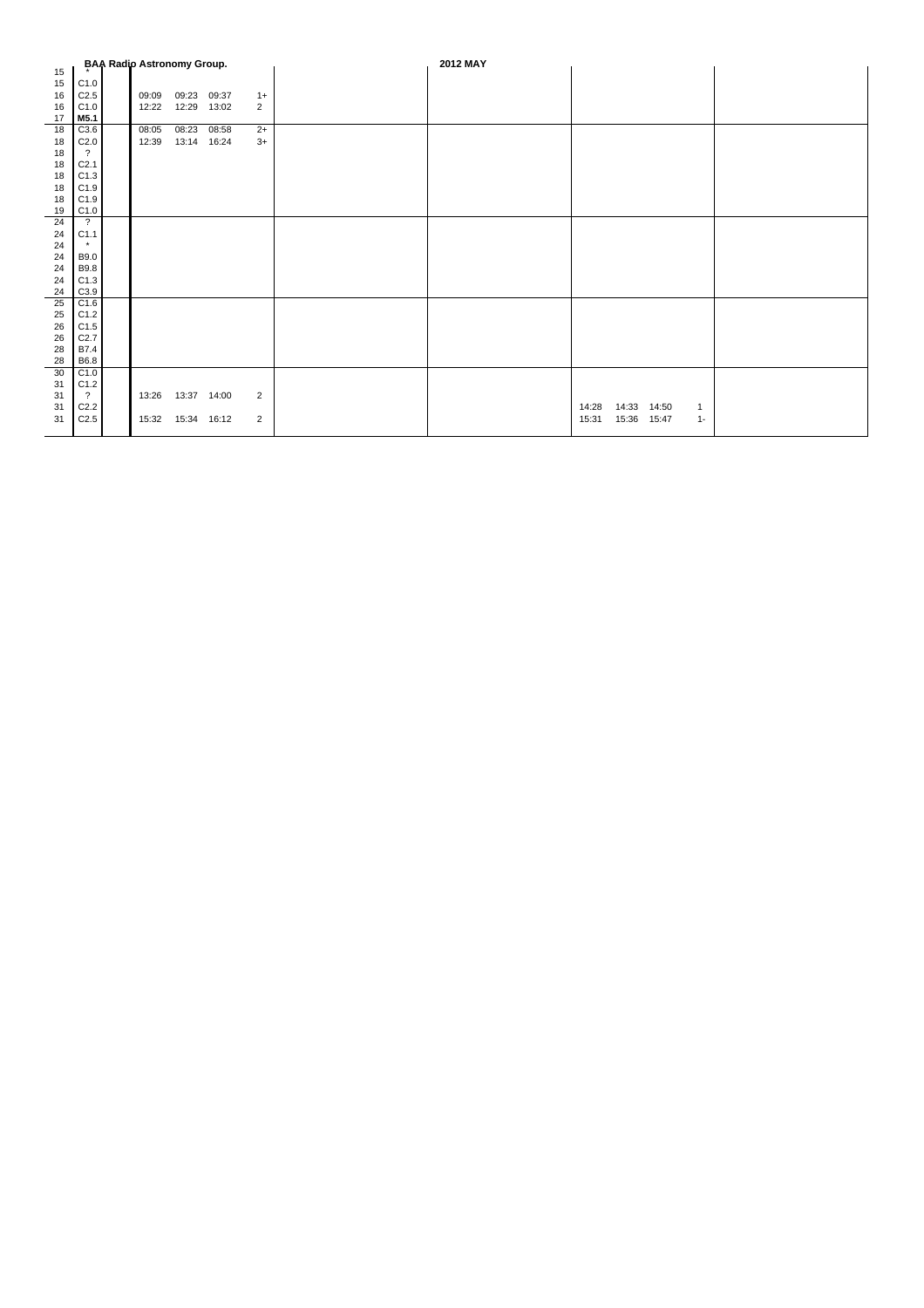|    |                  | <b>BAA Radio Astronomy Group.</b> |                     |       |                | 2012 MAY |                                  |  |
|----|------------------|-----------------------------------|---------------------|-------|----------------|----------|----------------------------------|--|
| 15 |                  |                                   |                     |       |                |          |                                  |  |
| 15 | C1.0             |                                   |                     |       |                |          |                                  |  |
| 16 | C2.5             | 09:09                             | 09:23 09:37         |       | $1+$           |          |                                  |  |
| 16 | C1.0             | 12:22                             | 12:29               | 13:02 | $\overline{2}$ |          |                                  |  |
| 17 | M5.1             |                                   |                     |       |                |          |                                  |  |
| 18 | C3.6             | 08:05                             | 08:23               | 08:58 | $2+$           |          |                                  |  |
| 18 | C2.0             | 12:39                             | 13:14 16:24         |       | $3+$           |          |                                  |  |
| 18 | $\overline{?}$   |                                   |                     |       |                |          |                                  |  |
| 18 | C <sub>2.1</sub> |                                   |                     |       |                |          |                                  |  |
| 18 | C1.3             |                                   |                     |       |                |          |                                  |  |
| 18 | C1.9             |                                   |                     |       |                |          |                                  |  |
| 18 | C1.9             |                                   |                     |       |                |          |                                  |  |
| 19 | C1.0             |                                   |                     |       |                |          |                                  |  |
| 24 | $\overline{?}$   |                                   |                     |       |                |          |                                  |  |
| 24 | C1.1             |                                   |                     |       |                |          |                                  |  |
| 24 | $\star$          |                                   |                     |       |                |          |                                  |  |
| 24 | <b>B9.0</b>      |                                   |                     |       |                |          |                                  |  |
| 24 | <b>B9.8</b>      |                                   |                     |       |                |          |                                  |  |
| 24 | C1.3             |                                   |                     |       |                |          |                                  |  |
| 24 | C3.9             |                                   |                     |       |                |          |                                  |  |
| 25 | C1.6             |                                   |                     |       |                |          |                                  |  |
| 25 | C1.2             |                                   |                     |       |                |          |                                  |  |
| 26 | C1.5             |                                   |                     |       |                |          |                                  |  |
| 26 | C2.7             |                                   |                     |       |                |          |                                  |  |
| 28 | B7.4             |                                   |                     |       |                |          |                                  |  |
| 28 | B6.8             |                                   |                     |       |                |          |                                  |  |
| 30 | C1.0             |                                   |                     |       |                |          |                                  |  |
| 31 | C1.2             |                                   |                     |       |                |          |                                  |  |
| 31 | $\overline{?}$   |                                   | 13:26  13:37  14:00 |       | $\overline{2}$ |          |                                  |  |
| 31 | C <sub>2.2</sub> |                                   |                     |       |                |          | 14:28<br>14:33 14:50<br>1        |  |
| 31 | C2.5             | 15:32                             | 15:34               | 16:12 | 2              |          | 15:36<br>15:31<br>15:47<br>$1 -$ |  |
|    |                  |                                   |                     |       |                |          |                                  |  |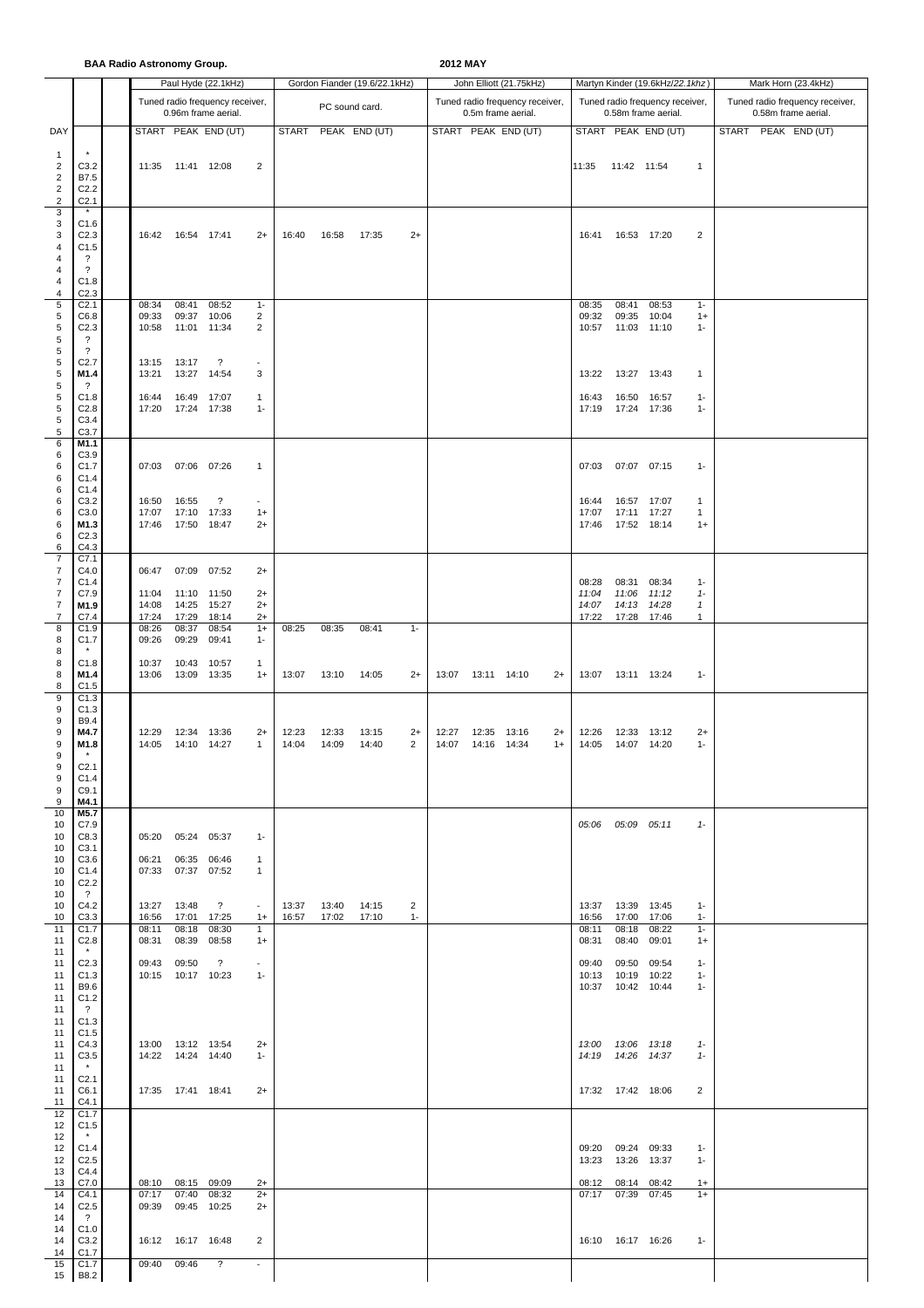**BAA Radio Astronomy Group. 2012 MAY**

|                                                                                  |                                                                                                | <b>DAA NGUNA ASH VIIVIIIY OF VUP.</b> |                                                 | Paul Hyde (22.1kHz)                                    |                                          |                |                | Gordon Fiander (19.6/22.1kHz) |           |                |                            | John Elliott (21.75kHz)                               |              |                         |                                                         | Martyn Kinder (19.6kHz/22.1khz)                        |                                      |              | Mark Horn (23.4kHz)                                    |  |
|----------------------------------------------------------------------------------|------------------------------------------------------------------------------------------------|---------------------------------------|-------------------------------------------------|--------------------------------------------------------|------------------------------------------|----------------|----------------|-------------------------------|-----------|----------------|----------------------------|-------------------------------------------------------|--------------|-------------------------|---------------------------------------------------------|--------------------------------------------------------|--------------------------------------|--------------|--------------------------------------------------------|--|
|                                                                                  |                                                                                                |                                       |                                                 | Tuned radio frequency receiver,<br>0.96m frame aerial. |                                          |                | PC sound card. |                               |           |                |                            | Tuned radio frequency receiver,<br>0.5m frame aerial. |              |                         |                                                         | Tuned radio frequency receiver,<br>0.58m frame aerial. |                                      |              | Tuned radio frequency receiver,<br>0.58m frame aerial. |  |
| DAY                                                                              |                                                                                                |                                       |                                                 | START PEAK END (UT)                                    |                                          | <b>START</b>   |                | PEAK END (UT)                 |           |                |                            | START PEAK END (UT)                                   |              |                         |                                                         | START PEAK END (UT)                                    |                                      | <b>START</b> | PEAK END (UT)                                          |  |
| $\mathbf{1}$<br>2<br>$\overline{\mathbf{c}}$<br>$\overline{2}$<br>$\overline{c}$ | C3.2<br>B7.5<br>C <sub>2.2</sub><br>C <sub>2.1</sub><br>$\star$                                | 11:35                                 | 11:41 12:08                                     |                                                        | 2                                        |                |                |                               |           |                |                            |                                                       |              | 11:35                   | 11:42 11:54                                             |                                                        | $\mathbf{1}$                         |              |                                                        |  |
| 3<br>3<br>3<br>4<br>4<br>$\overline{4}$                                          | C1.6<br>C <sub>2.3</sub><br>C1.5<br>?<br>$\overline{\cdot}$                                    |                                       | 16:42  16:54  17:41                             |                                                        | $2+$                                     | 16:40          | 16:58          | 17:35                         | $2+$      |                |                            |                                                       |              | 16:41                   |                                                         | 16:53 17:20                                            | 2                                    |              |                                                        |  |
| 4<br>4<br>5<br>5<br>5<br>5                                                       | C1.8<br>C <sub>2.3</sub><br>C <sub>2.1</sub><br>C6.8<br>C <sub>2.3</sub><br>$\overline{\cdot}$ | 08:34<br>09:33<br>10:58               | 08:41<br>09:37<br>11:01 11:34                   | 08:52<br>10:06                                         | $1 -$<br>2<br>2                          |                |                |                               |           |                |                            |                                                       |              | 08:35<br>09:32<br>10:57 | 08:41<br>09:35                                          | 08:53<br>10:04<br>11:03 11:10                          | $1 -$<br>$1+$<br>$1 -$               |              |                                                        |  |
| 5<br>5<br>5<br>5                                                                 | $\overline{?}$<br>C <sub>2.7</sub><br>M1.4<br>$\overline{\cdot}$                               | 13:15<br>13:21                        | 13:17<br>13:27                                  | $\overline{\mathcal{E}}$<br>14:54                      | $\sim$<br>3                              |                |                |                               |           |                |                            |                                                       |              | 13:22                   | 13:27                                                   | 13:43                                                  | 1                                    |              |                                                        |  |
| 5<br>5<br>5<br>5                                                                 | C1.8<br>C <sub>2.8</sub><br>C3.4<br>C3.7                                                       | 16:44<br>17:20                        | 16:49<br>17:24 17:38                            | 17:07                                                  | $\mathbf{1}$<br>$1 -$                    |                |                |                               |           |                |                            |                                                       |              | 16:43<br>17:19          | 16:50                                                   | 16:57<br>17:24 17:36                                   | $1-$<br>$1 -$                        |              |                                                        |  |
| 6<br>6<br>6<br>6                                                                 | M1.1<br>C3.9<br>C1.7<br>C1.4                                                                   | 07:03                                 | 07:06 07:26                                     |                                                        | $\mathbf{1}$                             |                |                |                               |           |                |                            |                                                       |              | 07:03                   |                                                         | 07:07 07:15                                            | $1 -$                                |              |                                                        |  |
| 6<br>6<br>6<br>6<br>6<br>6                                                       | C1.4<br>C <sub>3.2</sub><br>C3.0<br>M1.3<br>C <sub>2.3</sub><br>C4.3                           | 16:50<br>17:07<br>17:46               | 16:55<br>17:10<br>17:50 18:47                   | ?<br>17:33                                             | $\overline{\phantom{a}}$<br>$1+$<br>$2+$ |                |                |                               |           |                |                            |                                                       |              | 16:44<br>17:07<br>17:46 | 16:57<br>17:52 18:14                                    | 17:07<br>17:11 17:27                                   | $\mathbf{1}$<br>$\mathbf{1}$<br>$1+$ |              |                                                        |  |
| $\overline{7}$<br>7<br>$\overline{7}$<br>7<br>$\boldsymbol{7}$                   | C7.1<br>C4.0<br>C1.4<br>C7.9<br>M1.9                                                           | 06:47<br>11:04<br>14:08               | 07:09<br>11:10<br>14:25                         | 07:52<br>11:50<br>15:27                                | $2+$<br>$2+$<br>$2+$                     |                |                |                               |           |                |                            |                                                       |              | 08:28<br>11:04<br>14:07 | 08:31<br>11:06                                          | 08:34<br>11:12<br>14:13 14:28                          | $1 -$<br>$1 -$<br>$\mathbf{1}$       |              |                                                        |  |
| 7<br>8<br>8                                                                      | C7.4<br>C1.9<br>C <sub>1.7</sub>                                                               | 17:24<br>08:26<br>09:26               | 17:29<br>08:37<br>09:29                         | 18:14<br>08:54<br>09:41                                | $2+$<br>$1+$<br>$1 -$                    | 08:25          | 08:35          | 08:41                         | $1 -$     |                |                            |                                                       |              | 17:22                   |                                                         | 17:28 17:46                                            | $\mathbf{1}$                         |              |                                                        |  |
| 8<br>8<br>8<br>8<br>9                                                            | C1.8<br>M1.4<br>C1.5<br>C1.3                                                                   | 10:37<br>13:06                        | 10:43<br>13:09 13:35                            | 10:57                                                  | $\mathbf{1}$<br>$1+$                     | 13:07          | 13:10          | 14:05                         | $2+$      |                | 13:07  13:11  14:10        |                                                       | $2+$         |                         | 13:07  13:11  13:24                                     |                                                        | $1 -$                                |              |                                                        |  |
| 9<br>9<br>9<br>9<br>9<br>9                                                       | C1.3<br>B9.4<br>M4.7<br>M1.8<br>C <sub>2.1</sub>                                               | 12:29<br>14:05                        | 12:34 13:36<br>14:10 14:27                      |                                                        | $2+$<br>$\mathbf{1}$                     | 12:23<br>14:04 | 12:33<br>14:09 | 13:15<br>14:40                | $2+$<br>2 | 12:27<br>14:07 | 12:35 13:16<br>14:16 14:34 |                                                       | $2+$<br>$1+$ | 12:26<br>14:05          | 12:33                                                   | 13:12<br>14:07 14:20                                   | $2+$<br>$1 -$                        |              |                                                        |  |
| 9<br>9<br>9<br>10                                                                | C1.4<br>C9.1<br>M4.1<br>M5.7                                                                   |                                       |                                                 |                                                        |                                          |                |                |                               |           |                |                            |                                                       |              |                         |                                                         |                                                        |                                      |              |                                                        |  |
| 10<br>10<br>10<br>10<br>10                                                       | C7.9<br>C8.3<br>C <sub>3.1</sub><br>C3.6<br>C <sub>1.4</sub>                                   | 06:21<br>07:33                        | 05:20 05:24 05:37<br>06:35 06:46<br>07:37 07:52 |                                                        | $1 -$<br>$\mathbf{1}$<br>$\mathbf{1}$    |                |                |                               |           |                |                            |                                                       |              |                         | 05:06 05:09 05:11                                       |                                                        | $1 -$                                |              |                                                        |  |
| 10<br>10<br>10                                                                   | C2.2<br>$\gamma$<br>C4.2                                                                       | 13:27                                 | 13:48                                           | $\overline{\mathcal{L}}$                               | $\overline{\phantom{a}}$                 | 13:37          | 13:40          | 14:15                         | 2         |                |                            |                                                       |              | 13:37                   | 13:39 13:45                                             |                                                        | $1 -$                                |              |                                                        |  |
| 10<br>11<br>11                                                                   | C3.3<br>C1.7<br>C2.8                                                                           | 16:56<br>08:11<br>08:31               | 17:01<br>08:18<br>08:39                         | 17:25<br>08:30<br>08:58                                | $1+$<br>$\mathbf{1}$<br>$1+$             | 16:57          | 17:02          | 17:10                         | $1 -$     |                |                            |                                                       |              | 16:56<br>08:11<br>08:31 | 17:00<br>08:18<br>08:40                                 | 17:06<br>08:22<br>09:01                                | $1 -$<br>$1 -$<br>$1+$               |              |                                                        |  |
| 11<br>11<br>11<br>11<br>11                                                       | C <sub>2.3</sub><br>C1.3<br>B9.6<br>C1.2                                                       | 09:43<br>10:15                        | 09:50<br>10:17 10:23                            | $\overline{?}$                                         | $\blacksquare$<br>$1 -$                  |                |                |                               |           |                |                            |                                                       |              | 09:40<br>10:13<br>10:37 | 09:50<br>10:19<br>10:42 10:44                           | 09:54<br>10:22                                         | $1 -$<br>$1 -$<br>$1 -$              |              |                                                        |  |
| 11<br>11<br>11<br>11<br>11                                                       | $\overline{\mathcal{E}}$<br>C1.3<br>C1.5<br>C4.3<br>C3.5                                       |                                       | 13:00  13:12  13:54<br>14:22  14:24  14:40      |                                                        | $2+$<br>$1 -$                            |                |                |                               |           |                |                            |                                                       |              | 13:00<br>14:19          | 13:06 13:18                                             | 14:26 14:37                                            | $1 -$<br>$1 -$                       |              |                                                        |  |
| 11<br>11<br>11<br>11                                                             | $\star$<br>C <sub>2.1</sub><br>C6.1<br>C4.1                                                    |                                       | 17:35  17:41  18:41                             |                                                        | $2+$                                     |                |                |                               |           |                |                            |                                                       |              |                         | 17:32  17:42  18:06                                     |                                                        | 2                                    |              |                                                        |  |
| 12<br>12<br>12                                                                   | C1.7<br>C1.5<br>$\star$                                                                        |                                       |                                                 |                                                        |                                          |                |                |                               |           |                |                            |                                                       |              |                         |                                                         |                                                        |                                      |              |                                                        |  |
| 12<br>12<br>13<br>13                                                             | C1.4<br>C <sub>2.5</sub><br>C4.4<br>C7.0                                                       | 08:10                                 | 08:15 09:09                                     |                                                        | $2+$                                     |                |                |                               |           |                |                            |                                                       |              | 08:12                   | 09:20 09:24 09:33<br>13:23  13:26  13:37<br>08:14 08:42 |                                                        | $1 -$<br>$1 -$<br>$1+$               |              |                                                        |  |
| 14<br>14<br>14                                                                   | C4.1<br>C <sub>2.5</sub><br>$\gamma$                                                           | 07:17<br>09:39                        | 07:40<br>09:45 10:25                            | 08:32                                                  | $2+$<br>$2+$                             |                |                |                               |           |                |                            |                                                       |              | 07:17                   | 07:39                                                   | 07:45                                                  | $1+$                                 |              |                                                        |  |
| 14<br>14<br>14<br>15<br>15                                                       | C <sub>1.0</sub><br>C3.2<br>C <sub>1.7</sub><br>C <sub>1.7</sub><br><b>B8.2</b>                | 09:40                                 | 16:12  16:17  16:48<br>09:46                    | $\tilde{?}$                                            | 2                                        |                |                |                               |           |                |                            |                                                       |              |                         | 16:10  16:17  16:26                                     |                                                        | $1 -$                                |              |                                                        |  |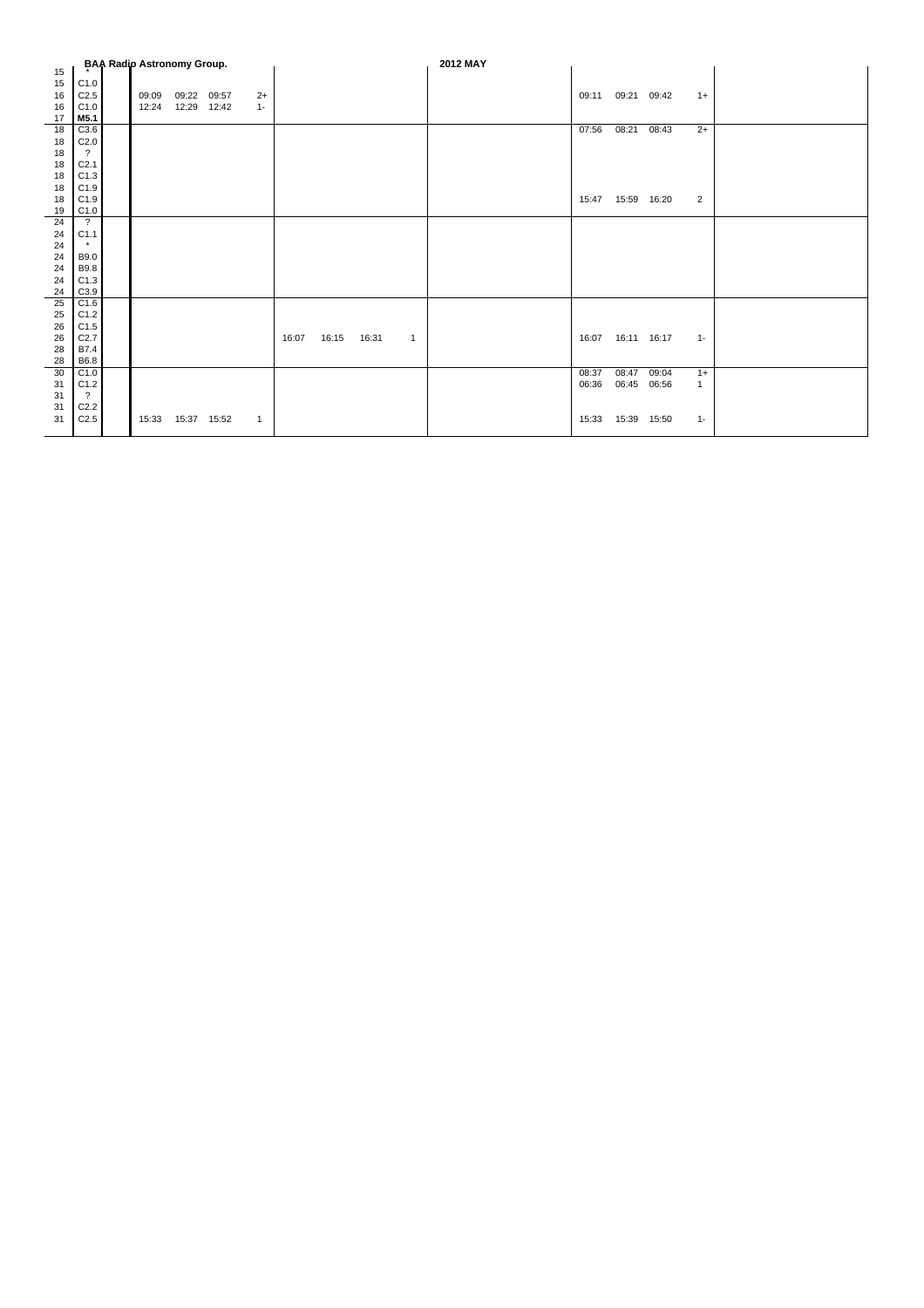|    |                      | <b>BAA Radio Astronomy Group.</b> |             |       |       |       |       |       |              | 2012 MAY |       |             |             |              |  |
|----|----------------------|-----------------------------------|-------------|-------|-------|-------|-------|-------|--------------|----------|-------|-------------|-------------|--------------|--|
| 15 |                      |                                   |             |       |       |       |       |       |              |          |       |             |             |              |  |
| 15 | C1.0                 |                                   |             |       |       |       |       |       |              |          |       |             |             |              |  |
| 16 | C <sub>2.5</sub>     | 09:09                             | 09:22 09:57 |       | $2+$  |       |       |       |              |          | 09:11 | 09:21 09:42 |             | $1+$         |  |
| 16 | C1.0                 | 12:24                             | 12:29       | 12:42 | $1 -$ |       |       |       |              |          |       |             |             |              |  |
| 17 | M5.1                 |                                   |             |       |       |       |       |       |              |          |       |             |             |              |  |
| 18 | C3.6                 |                                   |             |       |       |       |       |       |              |          | 07:56 | 08:21       | 08:43       | $2+$         |  |
| 18 | C <sub>2.0</sub>     |                                   |             |       |       |       |       |       |              |          |       |             |             |              |  |
| 18 | $\cdot$              |                                   |             |       |       |       |       |       |              |          |       |             |             |              |  |
| 18 | C <sub>2.1</sub>     |                                   |             |       |       |       |       |       |              |          |       |             |             |              |  |
| 18 | C1.3                 |                                   |             |       |       |       |       |       |              |          |       |             |             |              |  |
| 18 | C1.9                 |                                   |             |       |       |       |       |       |              |          |       |             |             |              |  |
| 18 | C1.9                 |                                   |             |       |       |       |       |       |              |          | 15:47 |             | 15:59 16:20 | 2            |  |
| 19 | C1.0                 |                                   |             |       |       |       |       |       |              |          |       |             |             |              |  |
| 24 | $\ddot{\phantom{0}}$ |                                   |             |       |       |       |       |       |              |          |       |             |             |              |  |
| 24 | C1.1                 |                                   |             |       |       |       |       |       |              |          |       |             |             |              |  |
| 24 | $\star$              |                                   |             |       |       |       |       |       |              |          |       |             |             |              |  |
| 24 | B9.0                 |                                   |             |       |       |       |       |       |              |          |       |             |             |              |  |
| 24 | B9.8                 |                                   |             |       |       |       |       |       |              |          |       |             |             |              |  |
| 24 | C1.3                 |                                   |             |       |       |       |       |       |              |          |       |             |             |              |  |
| 24 | C3.9                 |                                   |             |       |       |       |       |       |              |          |       |             |             |              |  |
| 25 | C1.6                 |                                   |             |       |       |       |       |       |              |          |       |             |             |              |  |
| 25 | C1.2                 |                                   |             |       |       |       |       |       |              |          |       |             |             |              |  |
| 26 | C1.5                 |                                   |             |       |       |       |       |       |              |          |       |             |             |              |  |
| 26 | C2.7                 |                                   |             |       |       | 16:07 | 16:15 | 16:31 | $\mathbf{1}$ |          | 16:07 | 16:11 16:17 |             | $1 -$        |  |
| 28 | B7.4                 |                                   |             |       |       |       |       |       |              |          |       |             |             |              |  |
| 28 | B6.8                 |                                   |             |       |       |       |       |       |              |          |       |             |             |              |  |
| 30 | C1.0                 |                                   |             |       |       |       |       |       |              |          | 08:37 | 08:47       | 09:04       | $1+$         |  |
| 31 | C1.2                 |                                   |             |       |       |       |       |       |              |          | 06:36 |             | 06:45 06:56 | $\mathbf{1}$ |  |
| 31 | $\cdot$              |                                   |             |       |       |       |       |       |              |          |       |             |             |              |  |
| 31 | C <sub>2.2</sub>     |                                   |             |       |       |       |       |       |              |          |       |             |             |              |  |
| 31 | C <sub>2.5</sub>     | 15:33                             | 15:37 15:52 |       | 1     |       |       |       |              |          | 15:33 | 15:39       | 15:50       | $1 -$        |  |
|    |                      |                                   |             |       |       |       |       |       |              |          |       |             |             |              |  |
|    |                      |                                   |             |       |       |       |       |       |              |          |       |             |             |              |  |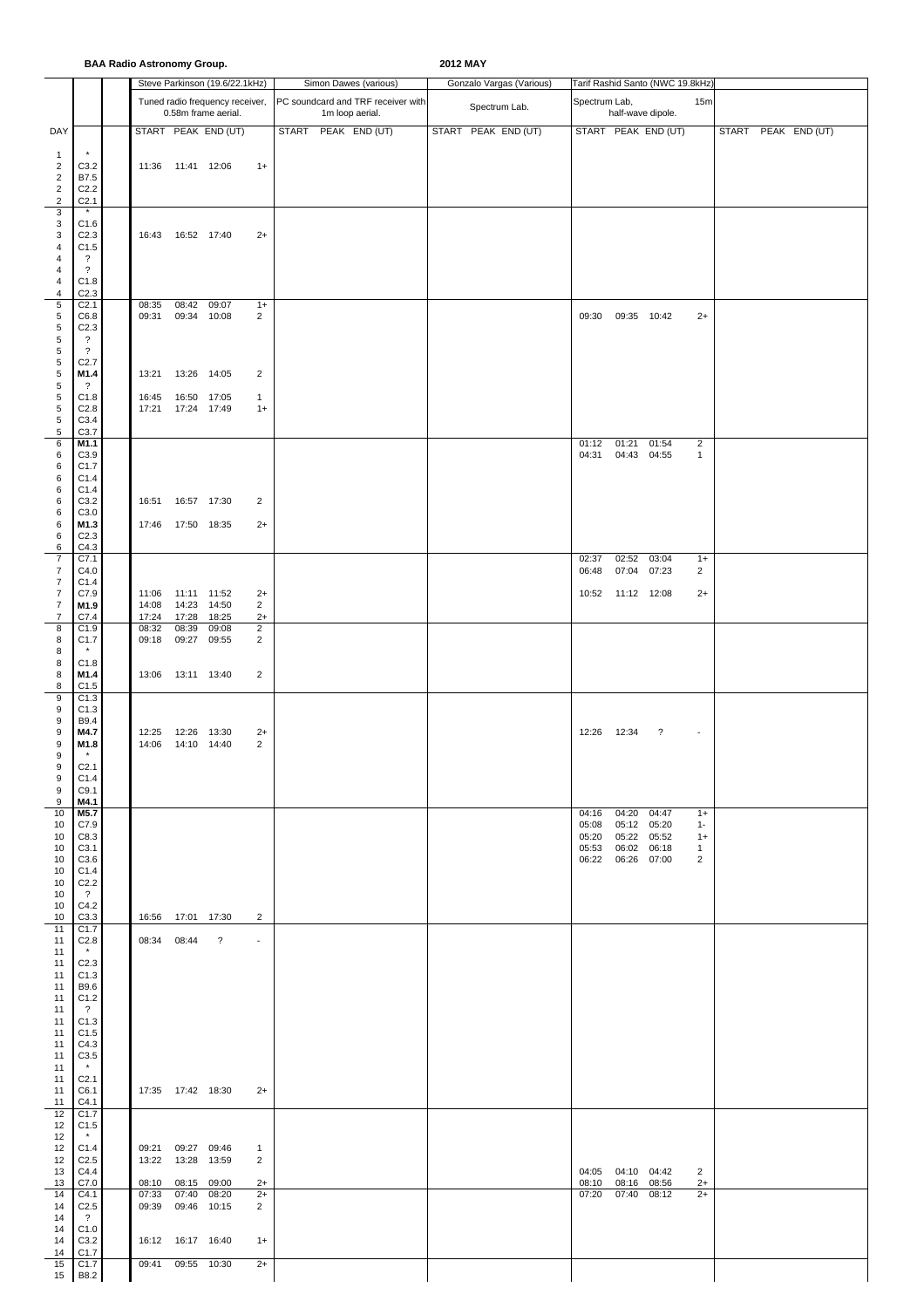|                                                                                    |                                                                                                                                              | <b>BAA Radio Astronomy Group.</b> |                                                                  |                                                        |                                            |              |                 |                                    | 2012 MAY |               |                          |                                  |                                                 |                                         |                                                         |       |               |  |
|------------------------------------------------------------------------------------|----------------------------------------------------------------------------------------------------------------------------------------------|-----------------------------------|------------------------------------------------------------------|--------------------------------------------------------|--------------------------------------------|--------------|-----------------|------------------------------------|----------|---------------|--------------------------|----------------------------------|-------------------------------------------------|-----------------------------------------|---------------------------------------------------------|-------|---------------|--|
|                                                                                    |                                                                                                                                              |                                   |                                                                  | Steve Parkinson (19.6/22.1kHz)                         |                                            |              |                 | Simon Dawes (various)              |          |               | Gonzalo Vargas (Various) |                                  |                                                 | Tarif Rashid Santo (NWC 19.8kHz)        |                                                         |       |               |  |
|                                                                                    |                                                                                                                                              |                                   |                                                                  | Tuned radio frequency receiver,<br>0.58m frame aerial. |                                            |              | 1m loop aerial. | PC soundcard and TRF receiver with |          | Spectrum Lab. |                          | Spectrum Lab,                    |                                                 | half-wave dipole.                       | 15m                                                     |       |               |  |
| DAY                                                                                |                                                                                                                                              |                                   |                                                                  | START PEAK END (UT)                                    |                                            | <b>START</b> | PEAK END (UT)   |                                    |          |               | START PEAK END (UT)      |                                  |                                                 | START PEAK END (UT)                     |                                                         | START | PEAK END (UT) |  |
| $\mathbf{1}$<br>$\overline{2}$<br>$\overline{2}$<br>$\overline{c}$<br>$\sqrt{2}$   | $\star$<br>C3.2<br>B7.5<br>C <sub>2.2</sub><br>C <sub>2.1</sub>                                                                              |                                   | 11:36  11:41  12:06                                              |                                                        | $1+$                                       |              |                 |                                    |          |               |                          |                                  |                                                 |                                         |                                                         |       |               |  |
| 3<br>3<br>3<br>4<br>4<br>$\overline{4}$                                            | $\star$<br>C1.6<br>C <sub>2.3</sub><br>C1.5<br>$\cdot$<br>$\overline{\cdot}$                                                                 |                                   | 16:43  16:52  17:40                                              |                                                        | $2+$                                       |              |                 |                                    |          |               |                          |                                  |                                                 |                                         |                                                         |       |               |  |
| 4<br>4<br>$\sqrt{5}$<br>5<br>$\sqrt{5}$<br>$\sqrt{5}$                              | C1.8<br>C2.3<br>C <sub>2.1</sub><br>C6.8<br>C <sub>2.3</sub><br>$\overline{\cdot}$                                                           | 08:35<br>09:31                    | 08:42<br>09:34 10:08                                             | 09:07                                                  | $1+$<br>$\overline{c}$                     |              |                 |                                    |          |               |                          | 09:30                            |                                                 | 09:35 10:42                             | $2+$                                                    |       |               |  |
| $\sqrt{5}$<br>5<br>5<br>$\sqrt{5}$<br>$\sqrt{5}$                                   | $\overline{\cdot}$<br>C <sub>2.7</sub><br>M1.4<br>$\overline{\cdot}$<br>C1.8                                                                 | 13:21<br>16:45                    | 13:26 14:05<br>16:50 17:05                                       |                                                        | $\overline{2}$<br>$\mathbf{1}$             |              |                 |                                    |          |               |                          |                                  |                                                 |                                         |                                                         |       |               |  |
| $\sqrt{5}$<br>5<br>5<br>6<br>6<br>6<br>6                                           | C <sub>2.8</sub><br>C3.4<br>C3.7<br>M1.1<br>C3.9<br>C1.7<br>C1.4                                                                             | 17:21                             | 17:24 17:49                                                      |                                                        | $1+$                                       |              |                 |                                    |          |               |                          | 01:12<br>04:31                   | 01:21                                           | 01:54<br>04:43 04:55                    | $\overline{2}$<br>$\mathbf{1}$                          |       |               |  |
| 6<br>6<br>6<br>6<br>6<br>6                                                         | C1.4<br>C3.2<br>C3.0<br>M1.3<br>C <sub>2.3</sub><br>C4.3                                                                                     | 16:51                             | 16:57 17:30<br>17:46  17:50  18:35                               |                                                        | 2<br>$2+$                                  |              |                 |                                    |          |               |                          |                                  |                                                 |                                         |                                                         |       |               |  |
| $\overline{7}$<br>7<br>$\overline{7}$<br>$\overline{\mathbf{7}}$<br>$\overline{7}$ | C7.1<br>C4.0<br>C1.4<br>C7.9<br>M1.9                                                                                                         | 11:06<br>14:08                    | 11:11 11:52<br>14:23                                             | 14:50                                                  | $2+$<br>2                                  |              |                 |                                    |          |               |                          | 02:37<br>06:48<br>10:52          | 11:12 12:08                                     | $\overline{02:}52$ 03:04<br>07:04 07:23 | $1+$<br>$\overline{2}$<br>$2+$                          |       |               |  |
| 7<br>8<br>8<br>8<br>8                                                              | C7.4<br>C1.9<br>C1.7<br>C1.8                                                                                                                 | 17:24<br>08:32<br>09:18           | 17:28<br>08:39<br>09:27                                          | 18:25<br>09:08<br>09:55                                | $2+$<br>$\overline{2}$<br>2                |              |                 |                                    |          |               |                          |                                  |                                                 |                                         |                                                         |       |               |  |
| 8<br>8<br>9                                                                        | M1.4<br>C1.5<br>C1.3                                                                                                                         |                                   | 13:06  13:11  13:40                                              |                                                        | $\overline{2}$                             |              |                 |                                    |          |               |                          |                                  |                                                 |                                         |                                                         |       |               |  |
| 9<br>9<br>9<br>9<br>9                                                              | C1.3<br>B9.4<br>M4.7<br>M1.8<br>$\pmb{\star}$                                                                                                | 12:25<br>14:06                    | 12:26 13:30<br>14:10 14:40                                       |                                                        | $2+$<br>$\overline{c}$                     |              |                 |                                    |          |               |                          | 12:26                            | 12:34                                           | $\overline{\cdot}$                      | $\sim$                                                  |       |               |  |
| 9<br>9<br>9<br>9<br>10<br>10<br>10<br>10<br>10<br>10<br>10<br>10<br>10             | C <sub>2.1</sub><br>C1.4<br>C9.1<br>M4.1<br>M5.7<br>C7.9<br>C8.3<br>C <sub>3.1</sub><br>C3.6<br>C1.4<br>C <sub>2.2</sub><br>$\gamma$<br>C4.2 |                                   |                                                                  |                                                        |                                            |              |                 |                                    |          |               |                          | 04:16<br>05:08<br>05:20<br>05:53 | 05:12 05:20<br>06:02 06:18<br>06:22 06:26 07:00 | 04:20 04:47<br>05:22 05:52              | $1+$<br>$1 -$<br>$1+$<br>$\mathbf{1}$<br>$\overline{2}$ |       |               |  |
| 10<br>11<br>11<br>11<br>11<br>11<br>11<br>11<br>11                                 | C3.3<br>C1.7<br>C <sub>2.8</sub><br>$^\star$<br>C <sub>2.3</sub><br>C1.3<br>B9.6<br>C1.2<br>$\overline{\mathcal{L}}$                         | 08:34 08:44                       | 16:56 17:01 17:30                                                | $\overline{\mathcal{E}}$                               | $\overline{2}$<br>$\overline{\phantom{a}}$ |              |                 |                                    |          |               |                          |                                  |                                                 |                                         |                                                         |       |               |  |
| 11<br>11<br>11<br>11<br>11                                                         | C1.3<br>C1.5<br>C4.3<br>C3.5<br>$\star$                                                                                                      |                                   |                                                                  |                                                        |                                            |              |                 |                                    |          |               |                          |                                  |                                                 |                                         |                                                         |       |               |  |
| 11<br>11<br>11<br>12<br>12                                                         | C <sub>2.1</sub><br>C6.1<br>C4.1<br>C1.7<br>C1.5                                                                                             |                                   | 17:35  17:42  18:30                                              |                                                        | $2+$                                       |              |                 |                                    |          |               |                          |                                  |                                                 |                                         |                                                         |       |               |  |
| 12<br>12<br>12<br>13<br>13<br>14                                                   | $\star$<br>C1.4<br>C <sub>2.5</sub><br>C4.4<br>C7.0<br>C4.1                                                                                  | 08:10<br>07:33                    | 09:21 09:27 09:46<br>13:22  13:28  13:59<br>08:15 09:00<br>07:40 | 08:20                                                  | $\mathbf{1}$<br>2<br>$2+$<br>$2+$          |              |                 |                                    |          |               |                          | 08:10<br>07:20                   | 04:05 04:10 04:42<br>08:16 08:56<br>07:40       | 08:12                                   | 2<br>$2+$<br>$2+$                                       |       |               |  |
| 14<br>14<br>14<br>14<br>14<br>15<br>15                                             | C <sub>2.5</sub><br>$\ddot{\phantom{0}}$<br>C1.0<br>C3.2<br>C <sub>1.7</sub><br>C <sub>1.7</sub><br><b>B8.2</b>                              | 09:39<br>09:41                    | 09:46 10:15<br>16:12  16:17  16:40<br>09:55 10:30                |                                                        | 2<br>$1+$<br>$2+$                          |              |                 |                                    |          |               |                          |                                  |                                                 |                                         |                                                         |       |               |  |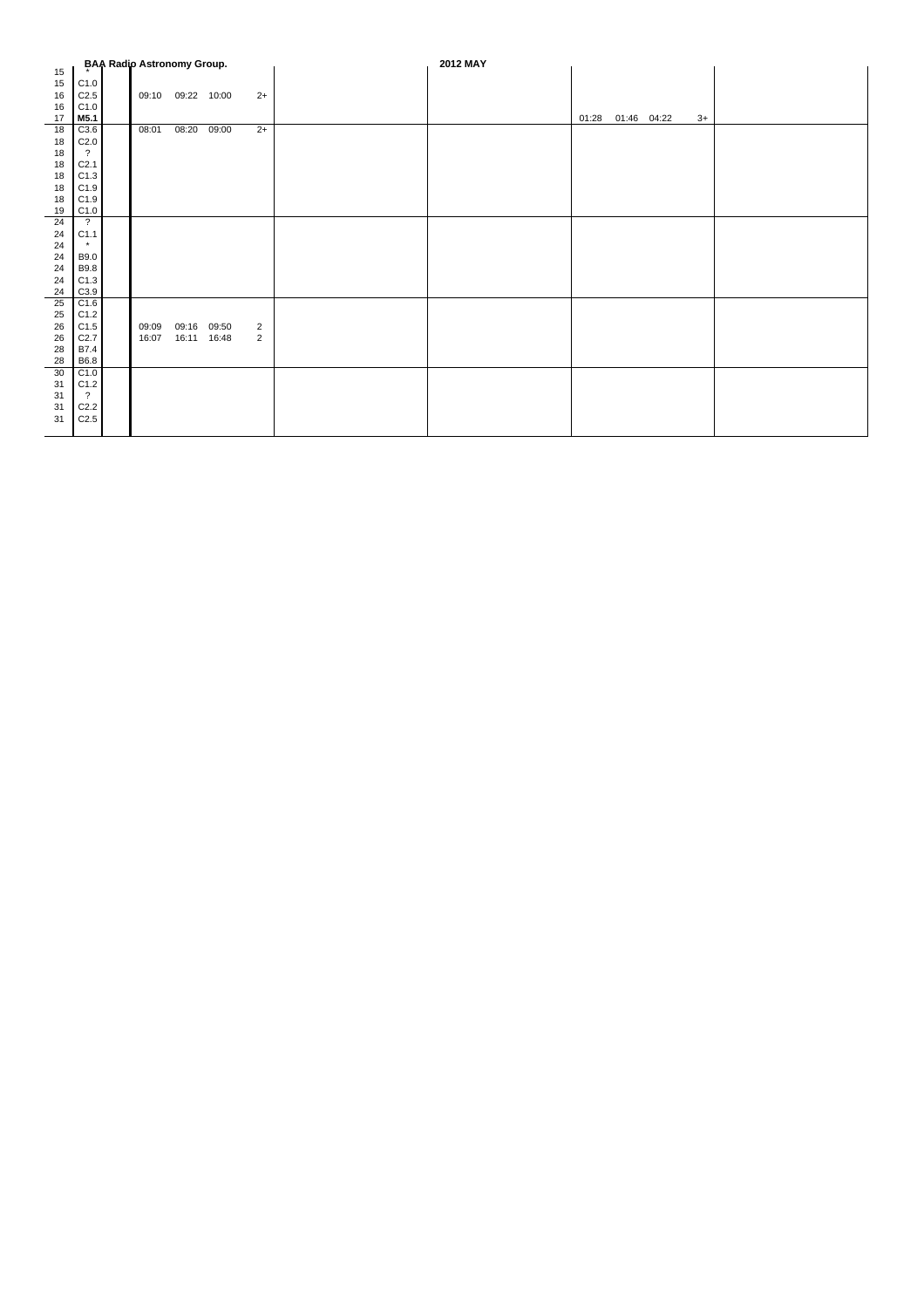|          |                          | <b>BAA Radio Astronomy Group.</b> |                   |       |                | 2012 MAY |       |             |      |  |
|----------|--------------------------|-----------------------------------|-------------------|-------|----------------|----------|-------|-------------|------|--|
| 15       |                          |                                   |                   |       |                |          |       |             |      |  |
| 15       | C1.0                     |                                   |                   |       |                |          |       |             |      |  |
| 16       | C2.5                     |                                   | 09:10 09:22 10:00 |       | $2+$           |          |       |             |      |  |
| 16       | C1.0                     |                                   |                   |       |                |          |       |             |      |  |
| 17<br>18 | M5.1<br>C3.6             | 08:01                             | 08:20             |       | $2+$           |          | 01:28 | 01:46 04:22 | $3+$ |  |
| 18       | C2.0                     |                                   |                   | 09:00 |                |          |       |             |      |  |
| 18       | $\overline{?}$           |                                   |                   |       |                |          |       |             |      |  |
| 18       | C <sub>2.1</sub>         |                                   |                   |       |                |          |       |             |      |  |
| 18       | C1.3                     |                                   |                   |       |                |          |       |             |      |  |
| 18       | C1.9                     |                                   |                   |       |                |          |       |             |      |  |
| 18       | C1.9                     |                                   |                   |       |                |          |       |             |      |  |
| 19       | C1.0                     |                                   |                   |       |                |          |       |             |      |  |
| 24       | $\overline{?}$           |                                   |                   |       |                |          |       |             |      |  |
| 24       | C1.1                     |                                   |                   |       |                |          |       |             |      |  |
| 24       | $\star$                  |                                   |                   |       |                |          |       |             |      |  |
| 24       | <b>B9.0</b>              |                                   |                   |       |                |          |       |             |      |  |
| 24       | <b>B9.8</b>              |                                   |                   |       |                |          |       |             |      |  |
| 24       | C1.3                     |                                   |                   |       |                |          |       |             |      |  |
| 24       | C3.9                     |                                   |                   |       |                |          |       |             |      |  |
| 25       | C1.6                     |                                   |                   |       |                |          |       |             |      |  |
| 25       | C1.2                     |                                   |                   |       |                |          |       |             |      |  |
| 26       | C1.5                     | 09:09                             | 09:16 09:50       |       | $\overline{2}$ |          |       |             |      |  |
| 26       | C2.7                     | 16:07                             | 16:11             | 16:48 | $\overline{2}$ |          |       |             |      |  |
| 28       | B7.4                     |                                   |                   |       |                |          |       |             |      |  |
| 28       | B6.8                     |                                   |                   |       |                |          |       |             |      |  |
| 30       | C1.0                     |                                   |                   |       |                |          |       |             |      |  |
| 31       | C1.2                     |                                   |                   |       |                |          |       |             |      |  |
| 31       | $\overline{\mathcal{L}}$ |                                   |                   |       |                |          |       |             |      |  |
| 31       | C2.2                     |                                   |                   |       |                |          |       |             |      |  |
| 31       | C2.5                     |                                   |                   |       |                |          |       |             |      |  |
|          |                          |                                   |                   |       |                |          |       |             |      |  |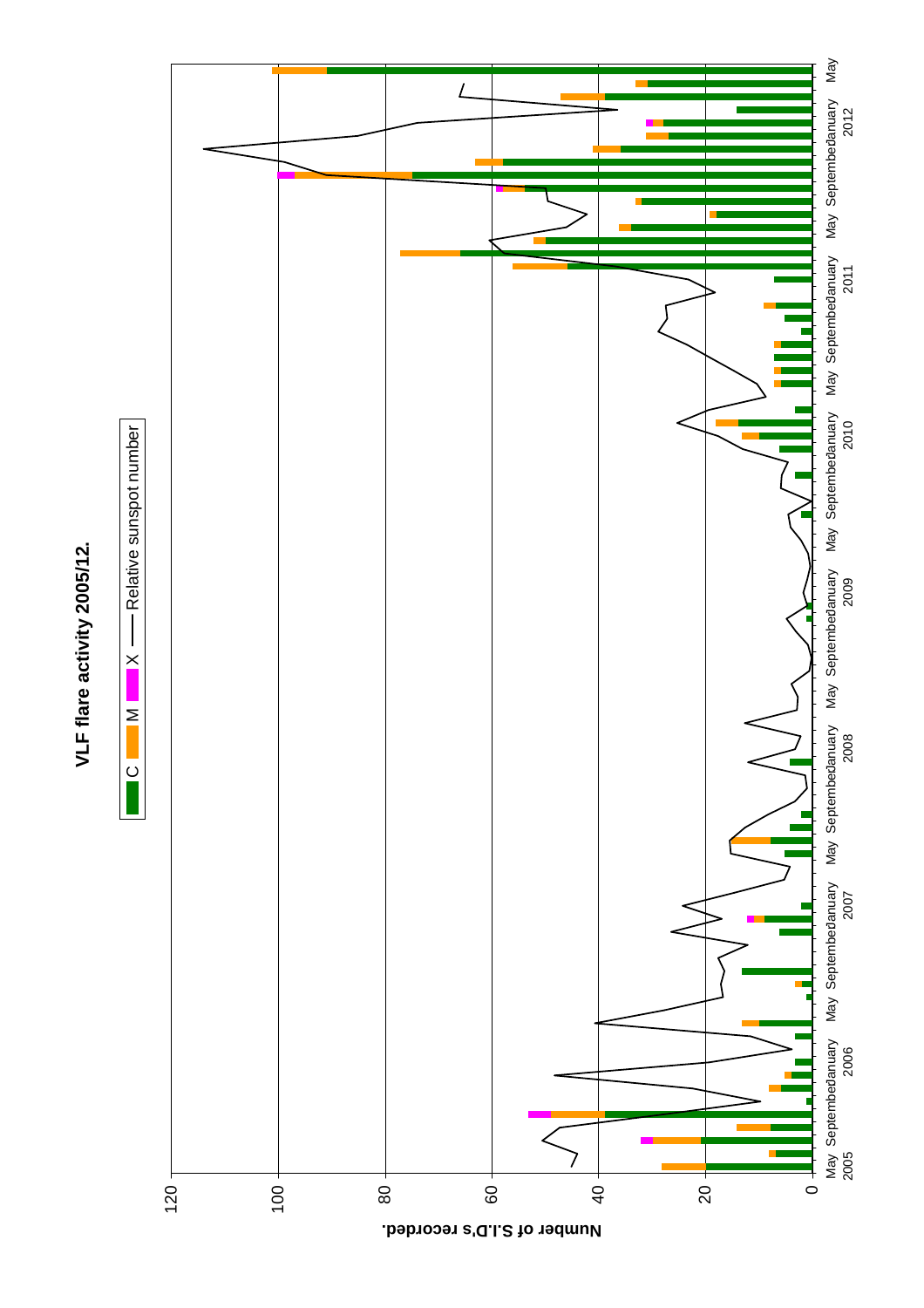

VLF flare activity 2005/12. **VLF flare activity 2005/12.**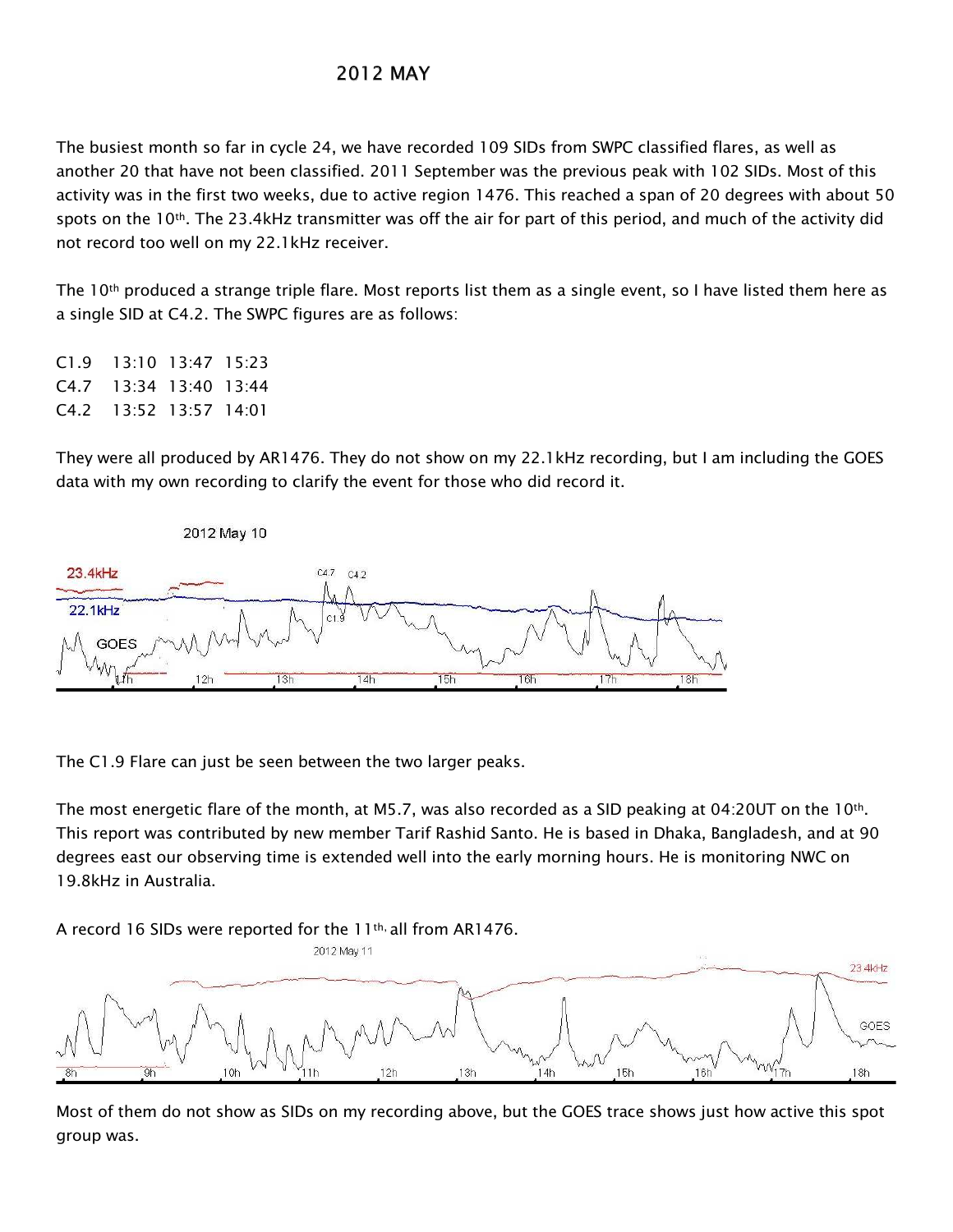## **2012 MAY**

The busiest month so far in cycle 24, we have recorded 109 SIDs from SWPC classified flares, as well as another 20 that have not been classified. 2011 September was the previous peak with 102 SIDs. Most of this activity was in the first two weeks, due to active region 1476. This reached a span of 20 degrees with about 50 spots on the 10<sup>th</sup>. The 23.4kHz transmitter was off the air for part of this period, and much of the activity did not record too well on my 22.1kHz receiver.

The 10<sup>th</sup> produced a strange triple flare. Most reports list them as a single event, so I have listed them here as a single SID at C4.2. The SWPC figures are as follows:

13:10 13:47 15:23  $C1.9$  $C4.7$ 13:34 13:40 13:44  $C4.2$ 13:52 13:57 14:01

They were all produced by AR1476. They do not show on my 22.1kHz recording, but I am including the GOES data with my own recording to clarify the event for those who did record it.



The C1.9 Flare can just be seen between the two larger peaks.

The most energetic flare of the month, at M5.7, was also recorded as a SID peaking at 04:20UT on the 10<sup>th</sup>. This report was contributed by new member Tarif Rashid Santo. He is based in Dhaka, Bangladesh, and at 90 degrees east our observing time is extended well into the early morning hours. He is monitoring NWC on 19.8kHz in Australia

A record 16 SIDs were reported for the 11<sup>th,</sup> all from AR1476.



Most of them do not show as SIDs on my recording above, but the GOES trace shows just how active this spot group was.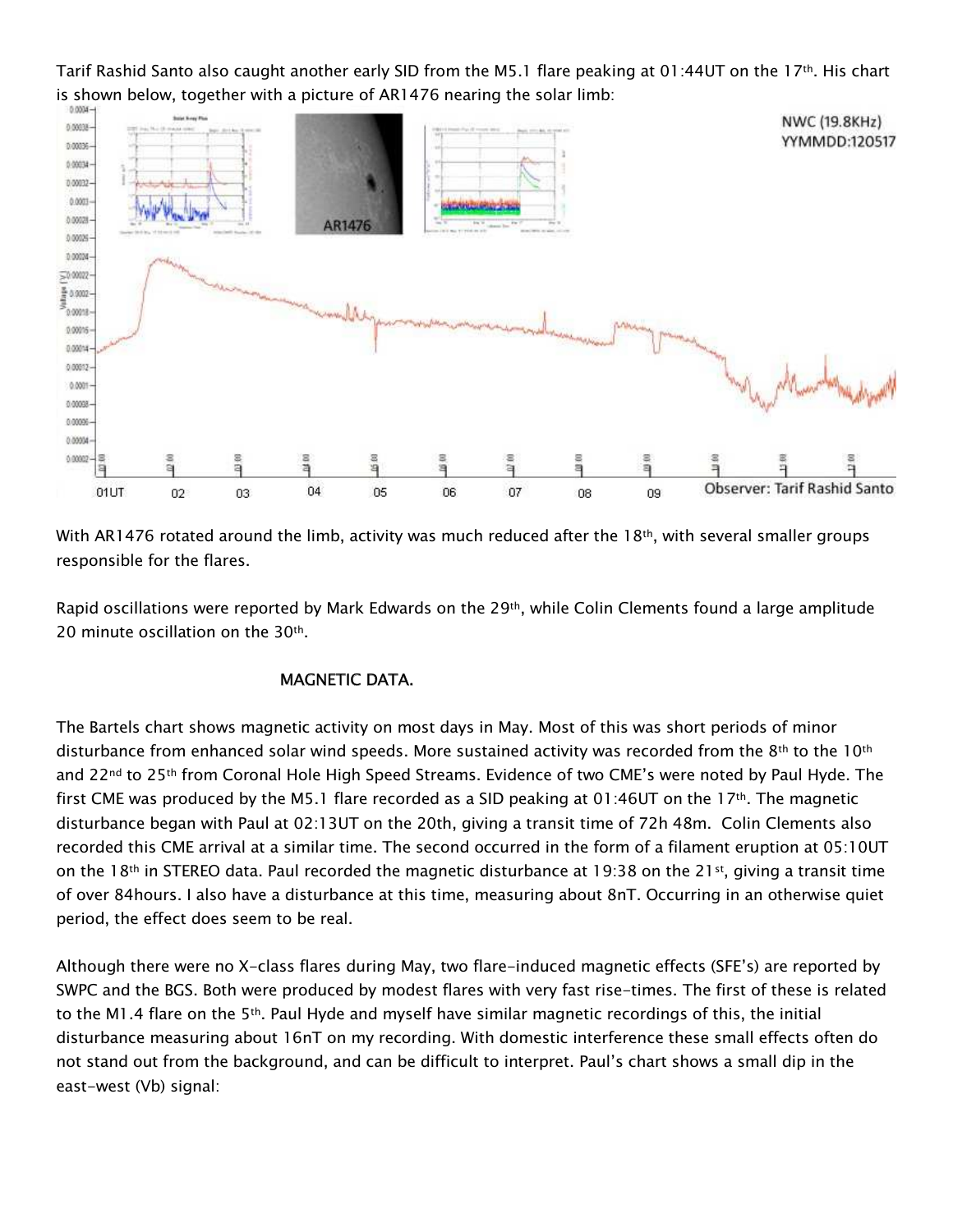Tarif Rashid Santo also caught another early SID from the M5.1 flare peaking at 01:44UT on the 17th. His chart is shown below, together with a picture of AR1476 nearing the solar limb:



With AR1476 rotated around the limb, activity was much reduced after the  $18<sup>th</sup>$ , with several smaller groups responsible for the flares.

Rapid oscillations were reported by Mark Edwards on the 29<sup>th</sup>, while Colin Clements found a large amplitude 20 minute oscillation on the 30th.

## **MAGNETIC DATA.**

The Bartels chart shows magnetic activity on most days in May. Most of this was short periods of minor disturbance from enhanced solar wind speeds. More sustained activity was recorded from the 8th to the 10th and 22<sup>nd</sup> to 25<sup>th</sup> from Coronal Hole High Speed Streams. Evidence of two CME's were noted by Paul Hyde. The first CME was produced by the M5.1 flare recorded as a SID peaking at 01:46UT on the 17<sup>th</sup>. The magnetic disturbance began with Paul at 02:13UT on the 20th, giving a transit time of 72h 48m. Colin Clements also recorded this CME arrival at a similar time. The second occurred in the form of a filament eruption at 05:10UT on the 18<sup>th</sup> in STEREO data. Paul recorded the magnetic disturbance at 19:38 on the 21<sup>st</sup>, giving a transit time of over 84 hours. I also have a disturbance at this time, measuring about 8nT. Occurring in an otherwise quiet period, the effect does seem to be real.

Although there were no X-class flares during May, two flare-induced magnetic effects (SFE's) are reported by SWPC and the BGS. Both were produced by modest flares with very fast rise-times. The first of these is related to the M1.4 flare on the 5<sup>th</sup>. Paul Hyde and myself have similar magnetic recordings of this, the initial disturbance measuring about 16nT on my recording. With domestic interference these small effects often do not stand out from the background, and can be difficult to interpret. Paul's chart shows a small dip in the east-west (Vb) signal: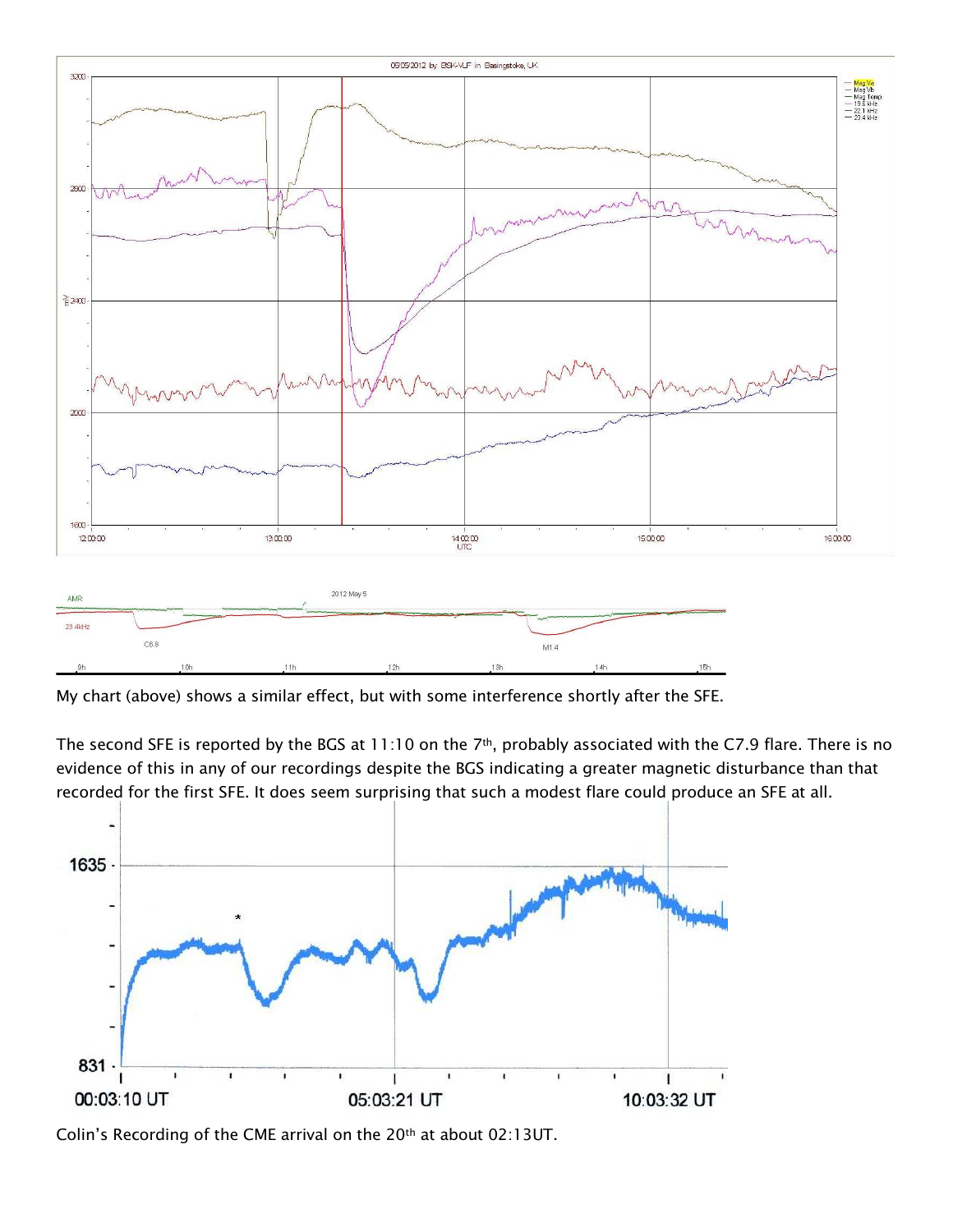

My chart (above) shows a similar effect, but with some interference shortly after the SFE.

The second SFE is reported by the BGS at 11:10 on the 7<sup>th</sup>, probably associated with the C7.9 flare. There is no evidence of this in any of our recordings despite the BGS indicating a greater magnetic disturbance than that recorded for the first SFE. It does seem surprising that such a modest flare could produce an SFE at all.



Colin's Recording of the CME arrival on the 20th at about 02:13UT.